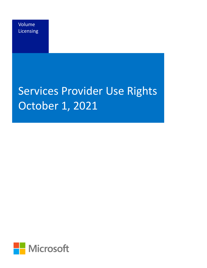<span id="page-0-0"></span>F

# Services Provider Use Rights October 1, 2021

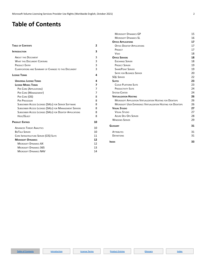# <span id="page-1-0"></span>**Table of Contents**

<span id="page-1-1"></span>

| <b>TABLE OF CONTENTS</b>                                   | $\overline{2}$ |
|------------------------------------------------------------|----------------|
| <b>INTRODUCTION</b>                                        | 3              |
| <b>ABOUT THIS DOCUMENT</b>                                 | 3              |
| <b>WHAT THIS DOCUMENT CONTAINS</b>                         | 3              |
| <b>PRODUCT ENTRY</b>                                       | 3              |
| CLARIFICATIONS AND SUMMARY OF CHANGES TO THIS DOCUMENT     | 3              |
| <b>LICENSE TERMS</b>                                       | 4              |
| <b>UNIVERSAL LICENSE TERMS</b>                             | 4              |
| <b>LICENSE MODEL TERMS</b>                                 | 7              |
| PER CORE (APPLICATIONS)                                    | 7              |
| PER CORE (MANAGEMENT)                                      | 7              |
| PER CORE (OS)                                              | 8              |
| <b>PER PROCESSOR</b>                                       | 8              |
| SUBSCRIBER ACCESS LICENSES (SALS) FOR SERVER SOFTWARE      | 8              |
| SUBSCRIBER ACCESS LICENSES (SALS) FOR MANAGEMENT SERVERS   | 8              |
| SUBSCRIBER ACCESS LICENSES (SALS) FOR DESKTOP APPLICATIONS | 8              |
| HOST/GUEST                                                 | 8              |
| <b>PRODUCT ENTRIES</b>                                     | 10             |
| <b>ADVANCED THREAT ANALYTICS</b>                           | 10             |
| <b>BIZTALK SERVER</b>                                      | 10             |
| CORE INFRASTRUCTURE SERVER (CIS) SUITE                     | 11             |
| <b>MICROSOFT DYNAMICS</b>                                  | 12             |
| <b>MICROSOFT DYNAMICS AX</b>                               | 12             |
| MICROSOFT DYNAMICS 365                                     | 13             |
| <b>MICROSOFT DYNAMICS NAV</b>                              | 14             |

| <b>MICROSOFT DYNAMICS GP</b>                                         | 15 |
|----------------------------------------------------------------------|----|
| <b>MICROSOFT DYNAMICS SL</b>                                         | 16 |
| <b>OFFICE APPLICATIONS</b>                                           | 17 |
| <b>OFFICE DESKTOP APPLICATIONS</b>                                   | 17 |
| PROJECT                                                              | 17 |
| Visio                                                                | 18 |
| <b>OFFICE SERVERS</b>                                                | 18 |
| <b>EXCHANGE SERVER</b>                                               | 18 |
| <b>PROJECT SERVER</b>                                                | 19 |
| <b>SHAREPOINT SERVER</b>                                             | 19 |
| <b>SKYPE FOR BUSINESS SERVER</b>                                     | 20 |
| <b>SQL SERVER</b>                                                    | 22 |
| <b>SUITES</b>                                                        | 23 |
| <b>CLOUD PLATFORM SUITE</b>                                          | 23 |
| <b>PRODUCTIVITY SUITE</b>                                            | 24 |
| <b>SYSTEM CENTER</b>                                                 | 24 |
| <b>VIRTUALIZATION HOSTING</b>                                        | 26 |
| <b>MICROSOFT APPLICATION VIRTUALIZATION HOSTING FOR DESKTOPS</b>     | 26 |
| <b>MICROSOFT USER EXPERIENCE VIRTUALIZATION HOSTING FOR DESKTOPS</b> | 26 |
| <b>VISUAL STUDIO</b>                                                 | 27 |
| <b>VISUAL STUDIO</b>                                                 | 27 |
| <b>AZURE DEV OPS SERVER</b>                                          | 28 |
| <b>WINDOWS SERVER</b>                                                | 29 |
| <b>GLOSSARY</b>                                                      | 31 |
| <b>ATTRIBUTES</b>                                                    | 31 |
| DEFINITIONS                                                          | 31 |
| <b>INDEX</b>                                                         | 33 |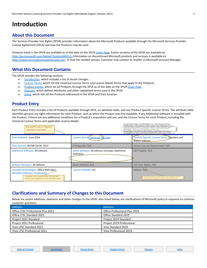# <span id="page-2-0"></span>**Introduction**

### <span id="page-2-1"></span>**About this Document**

The Services Provider Use Rights (SPUR) provides information about the Microsoft Products available through the Microsoft Services Provider License Agreement (SPLA) and how the Products may be used.

Products listed in the SPUR are available as of the date on the SPUR [Cover Page](#page-0-0). Earlier versions of the SPUR are available on <http://go.microsoft.com/fwlink/?LinkId=690213>. Information on discontinued Microsoft products and services is available on [http://www.microsoftvolumelicensing.com](http://www.microsoftvolumelicensing.com/). To find the needed version, Customer may contact its reseller or Microsoft Account Manager.

### <span id="page-2-2"></span>**What this Document Contains**

The SPUR includes the following sections:

- [Introduction](#page-1-1), which includes a list of recent changes.
- [License Terms,](#page-4-0) which list the Universal License Terms and License Model Terms that apply to the Products.
- [Product Entries,](#page-10-0) which list all Products through the SPLA as of the date on the SPUR [Cover Page](#page-0-0).
- [Glossary](#page-31-0), which defines Attributes and other capitalized terms used in the SPUR.
- [Index,](#page-33-0) which lists all the Products referenced in the SPUR and their location.

### <span id="page-2-3"></span>**Product Entry**

Each Product Entry includes a list of Products available through SPLA, an attribute table, and any Product-Specific License Terms. The attribute table identifies general use right information for each Product; such as when the Product was first available, if any Additional Software is included with the Product, if there are any additional conditions for a Product's acquisition and use, and the License Terms for each Product, including the Universal License Terms and applicable License Model.

| Blue underline text is a "hyperlink"<br>redirecting to more details                                                                                  |                                                                 | Tennish advance collidering particular crosses, from religibilities from<br>production of the product support that the state of the control of the control of the control of<br>as accept Witnesdown it accepted words allowing raced<br>Three are considered and collected to present the<br>and concentrate the constitution of concentration of<br>and discussion of the American State and<br>all Proposition & Congress May New York, around<br>The class the state in the complete part |
|------------------------------------------------------------------------------------------------------------------------------------------------------|-----------------------------------------------------------------|-----------------------------------------------------------------------------------------------------------------------------------------------------------------------------------------------------------------------------------------------------------------------------------------------------------------------------------------------------------------------------------------------------------------------------------------------------------------------------------------------|
| Date Available: June 2014                                                                                                                            | License Terms: Universal; Per Core                              | Product-Specific License Terms: Standard and<br><b>Branch editions</b>                                                                                                                                                                                                                                                                                                                                                                                                                        |
| <b>Prior Version: BizTalk Server 2013</b>                                                                                                            | Prerequisite: N/A                                               | Access License Requirement: N/A                                                                                                                                                                                                                                                                                                                                                                                                                                                               |
| <b>Additional Software: All editions</b>                                                                                                             | Client Software: All editions (includes Additional<br>Software) | DCP Eligible: N/A                                                                                                                                                                                                                                                                                                                                                                                                                                                                             |
| Disaster Recovery: All editions                                                                                                                      | Down Editions: N/A                                              | Fail-Over Rights: N/A                                                                                                                                                                                                                                                                                                                                                                                                                                                                         |
| Included Technologies: Office Web Apps;<br><b>Windows Software Components</b><br>A gray cell means the attribute<br>does not apply to the Product(s) | License Mobility: Yes                                           | Notices: N/A<br>and an experience of the second the factor that are the<br>and the company of the company of the company of the company of the company of the company of the company of the                                                                                                                                                                                                                                                                                                   |

### <span id="page-2-4"></span>**Clarifications and Summary of Changes to this Document**

Below are recent additions, deletions and other changes to the SPUR. Also listed below, are clarifications of Microsoft policy in response to common customer questions.

| Additions                          | <b>Deletions</b>              |
|------------------------------------|-------------------------------|
| Office LTSC Professional Plus 2021 | Office Professional Plus 2019 |
| Office LTSC Standard 2021          | Office Standard 2019          |
| Project 2021 Standard              | Project 2019 Standard         |
| Project 2021 Professional          | Project 2019 Professional     |
| Visio LTSC Standard 2021           | Visio Standard 2019           |
| Visio LTSC Professional 2021       | Visio Professional 2019       |

Table of [Contents](#page-1-0) [Introduction](#page-1-1) Intervention [License](#page-4-0) Terms Index [Product](#page-10-0) Entries Index [Glossary](#page-31-0) [Index](#page-33-0)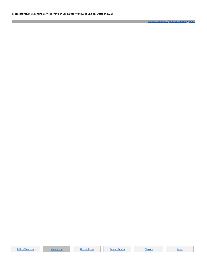Table of [Contents](#page-1-0) / [Universal](#page-4-1) Terms / [Index](#page-33-0)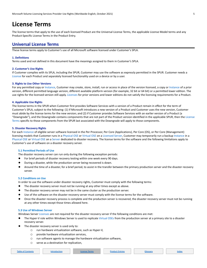## <span id="page-4-0"></span>**License Terms**

The license terms that apply to the use of each licensed Product are the Universal License Terms, the applicable License Model terms and any Product-Specific License Terms in the Product Entry.

### <span id="page-4-1"></span>**Universal License Terms**

These license terms apply to Customer's use of all Microsoft software licensed under Customer's SPLA.

### **1. Definitions**

Terms used and not defined in this document have the meanings assigned to them in Customer's SPLA.

### **2. Customer's Use Rights**

If Customer complies with its SPLA, including the SPUR, Customer may use the software as expressly permitted in the SPUR. Customer needs a License for each Product and separately licensed functionality used on a device or by a user.

### **3. Rights to Use Other Versions**

For any permitted copy or Instance, Customer may create, store, install, run or access in place of the version licensed, a copy or Instance of a prior version, different permitted language version, different available platform version (for example, 32 bit or 64 bit) or a permitted lower edition. The use rights for the licensed version still apply. Licenses for prior versions and lower editions do not satisfy the licensing requirements for a Product.

### **4. Applicable Use Rights**

The license terms in the SPUR when Customer first provides Software Services with a version of a Product remain in effect for the term of Customer's SPLA, subject to the following: (1) if Microsoft introduces a new version of a Product and Customer uses the new version, Customer must abide by the license terms for the new version; and (2) if Customer provides Software Services with an earlier version of a Product (a "Downgrade"), and the Downgrade contains components that are not part of the Product version identified in the applicable SPUR, then the License Terms specific to those components from the SPUR last associated with the Downgrade will apply to those components.

### <span id="page-4-2"></span>**5. Disaster Recovery Rights**

For each Instance of eligible server software licensed in the Per Processor, Per Core (Applications), Per Core (OS), or Per Core (Management) licensing models that Customer runs in a Physical OSE or Virtual OSE on a Licensed Server, Customer may temporarily run a backup Instance in a Physical OSE or Virtual OSE on a Server dedicated to disaster recovery. The license terms for the software and the following limitations apply to Customer's use of software on a disaster recovery server.

### **5.1 Permitted Periods of Use**

The disaster recovery server can run only during the following exception periods:

- For brief periods of disaster recovery testing within one week every 90 days.
- During a disaster, while the production server being recovered is down.
- Around the time of a disaster, for a brief period, to assist in the transfer between the primary production server and the disaster recovery server.

### **5.2 Conditions on Use**

In order to use the software under disaster recovery rights, Customer must comply with the following terms:

- The disaster recovery server must not be running at any other times except as above.
- The disaster recovery server may not be in the same cluster as the production server.
- Use of the software on the disaster recovery server must comply with the license terms for the software.
- Once the disaster recovery process is complete and the production server is recovered, the disaster recovery server must not be running at any other times except those times allowed here.

### **5.3 Use of Windows Server**

Windows Server Licenses are not required for the disaster recovery server if the following conditions are met:

- The Hyper-V role within Windows Server is used to replicate Virtual OSEs from the production server at a primary site to a disaster recovery server.
- The disaster recovery server is used only to:
	- o run hardware virtualization software, such as Hyper-V,
	- o provide hardware virtualization services,
	- o run software agents to manage the hardware virtualization software,
	- o serve as a destination for replication,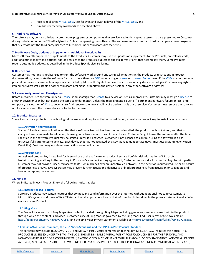- o receive replicated Virtual OSEs, test failover, and await failover of the Virtual OSEs, and
- o run disaster recovery workloads as described above.

### **6. Third Party Software**

The software may contain third party proprietary programs or components that are licensed under separate terms that are presented to Customer during installation or in the "ThirdPartyNotices" file accompanying the software. The software may also contain third party open source programs that Microsoft, not the third party, licenses to Customer under Microsoft's license terms.

### **7. Pre-Release Code, Updates or Supplements, Additional Functionality**

Microsoft may offer updates or supplements to the Products. Customer may use the updates or supplements to the Products, pre-release code, additional functionality and optional add-on services to the Products, subject to specific terms (if any) that accompany them. Some Products require automatic updates, as described in the Product-Specific License Terms.

#### **8. Restrictions**

Customer may not (and is not licensed to) rent the software, work around any technical limitations in the Products or restrictions in Product documentation, or separate the software for use in more than one OSE under a single License or Licensed Server (even if the OSEs are on the same physical hardware system), unless expressly permitted by Microsoft. Rights to access the software on any device do not give Customer any right to implement Microsoft patents or other Microsoft intellectual property in the device itself or in any other software or devices.

#### **9. License Assignment and Reassignment**

Before Customer uses software under a License, it must assign that License to a device or user, as appropriate. Customer may reassign a License to another device or user, but not during the same calendar month, unless the reassignment is due to (i) permanent hardware failure or loss, or (ii) temporary reallocation of SALs to cover a user's absence or the unavailability of a device that is out of service. Customer must remove the software or block access from the former device or to the former user.

### **10. Technical Measures**

Some Products are protected by technological measures and require activation or validation, as well as a product key, to install or access them.

### **10.1 Activation and validation**

Successful activation or validation verifies that a software Product has been correctly installed, the product key is not stolen, and that no changes have been made to validation, licensing, or activation functions of the software. Customer's right to use the software after the time specified in the software Product may be limited unless it is activated. Customer is not licensed to continue using the software if it has unsuccessfully attempted to activate. Each device that has not activated by a Key Management Service (KMS) must use a Multiple Activation Key (MAK). Customer may not circumvent activation or validation.

### **10.2 Product Keys**

An assigned product key is required for licensed use of the software. All product keys are Confidential Information of Microsoft. Notwithstanding anything to the contrary in Customer's volume licensing agreement, Customer may not disclose product keys to third parties. Customer may not provide unsecured access to its KMS machines over an uncontrolled network. In the event of unauthorized use or disclosure of product keys or KMS keys, Microsoft may prevent further activations, deactivate or block product keys from activation or validation, and take other appropriate action.

### **11. Notices**

Where indicated in each Product Entry, the following notices apply:

### **11.1 Internet-based Features**

Software Products may contain features that connect and send information over the Internet, without additional notice to Customer, to Microsoft's systems and those of its Affiliates and services providers. Use of that information is described in the privacy statement available in each software Product.

### **11.2 Bing Maps**

The Product includes use of Bing Maps. Any content provided through Bing Maps, including geocodes, can only be used within the product through which the content is provided. Customer's use of Bing Maps is governed by the Bing Maps End User Terms of Use available at <http://go.microsoft.com/?linkid=9710837> and the Bing Maps Privacy Statement available at <http://go.microsoft.com/fwlink/?LinkID=248686>.

### **11.3 H.264/AVC Visual Standard, the VC-1 Video Standard, and the MPEG-4 Part 2 Visual Standard**

This software may include H.264/AVC, VC-1, and MPEG-4 Part 2 visual compression technology. MPEG LA, L.L.C. requires this notice: THIS PRODUCT IS LICENSED UNDER THE AVC, THE VC-1, THE MPEG-4 PART 2 VISUAL PATENT PORTFOLIO LICENSES FOR THE PERSONAL AND NON-COMMERCIAL USE OF A CONSUMER TO (i) ENCODE VIDEO IN COMPLIANCE WITH THE ABOVE ("VIDEO STANDARDS") AND/OR (ii) DECODE AVC, VC-1, MPEG-4 PART 2 VIDEO THAT WAS ENCODED BY A CONSUMER ENGAGED IN A PERSONAL AND NON-COMMERCIAL ACTIVITY AND/OR

|  | <b>Table of Contents</b> | ntroduction | <b>icense Terms</b> | <b>Product Entries</b> | silossary - | Index |
|--|--------------------------|-------------|---------------------|------------------------|-------------|-------|
|--|--------------------------|-------------|---------------------|------------------------|-------------|-------|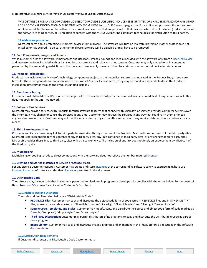WAS OBTAINED FROM A VIDEO PROVIDER LICENSED TO PROVIDE SUCH VIDEO. NO LICENSE IS GRANTED OR SHALL BE IMPLIED FOR ANY OTHER USE.ADDITIONAL INFORMATION MAY BE OBTAINED FROM MPEG LA, L.L.C. SEE [www.mpegla.com](http://www.mpegla.com). For clarification purposes, this notice does not limit or inhibit the use of the software for normal business uses that are personal to that business which do not include (i) redistribution of the software to third parties, or (ii) creation of content with the VIDEO STANDARDS compliant technologies for distribution to third parties.

### **11.4 Malware protection**

Microsoft cares about protecting customers' devices from malware. The software will turn on malware protection if other protection is not installed or has expired. To do so, other antimalware software will be disabled or may have to be removed.

### **12. Font Components, Images, and Sounds**

While Customer runs the software, it may access and use icons, images, sounds and media included with the software only from a Licensed Device and may use the fonts included with or installed by that software to display and print content. Customer may only embed fonts in content as permitted by the embedding restrictions in the fonts; and temporarily download them to a printer or other output device to print content.

#### **13. Included Technologies**

Products may include other Microsoft technology components subject to their own license terms, as indicated in the Product Entry. If separate terms for these components are not addressed in the Product-Specific License Terms, they may be found in a separate folder in the Product's installation directory or through the Product's unified installer.

### **14. Benchmark Testing**

Customer must obtain Microsoft's prior written approval to disclose to a third party the results of any benchmark test of any Server Product. This does not apply to the .NET Framework.

### **15. Software Plus Services**

Microsoft may provide services with Products through software features that connect with Microsoft or services provider computer systems over the Internet. It may change or cancel the services at any time. Customer may not use the services in any way that could harm them or impair anyone else's use of them. Customer may not use the services to try to gain unauthorized access to any service, data, account or network by any means.

### **16. Third Party Internet Sites**

Customer and its customers may link to third party Internet sites through the use of the Products. Microsoft does not control the third party sites. Microsoft is not responsible for the contents of any third party sites, any links contained in third party sites, or any changes to third party sites. Microsoft provides these links to third party sites only as a convenience. The inclusion of any link does not imply an endorsement by Microsoft of the third party site.

### **17. Multiplexing**

Multiplexing or pooling to reduce direct connections with the software does not reduce the number required Licenses.

#### **18. Creating and Storing Instances of Servers or Storage Media**

For any License Customer acquires, Customer may create and store Instances of the corresponding software solely to exercise its right to use Running Instances of software under that License as permitted in this document.

#### **19. Distributable Code**

The software may include code that Customer is permitted to distribute in programs it develops if it complies with the terms below. For purposes of this subsection, "Customer" also includes Customer's End Users.

#### **19.1 Right to Use and Distribute**

The code and text files listed below are "Distributable Code."

- **REDIST.TXT Files**: Customer may copy and distribute the object code form of code listed in REDIST.TXT files and in OTHER-DIST.TXT files, as well as any code marked as "Silverlight Libraries", Silverlight "Client Libraries" and Silverlight "Server Libraries".
- **Sample Code, Templates, and Styles**: Customer may modify, copy, and distribute the source and object code form of code marked as "sample, "template", "simple styles" and "sketch styles."
- **Third Party Distribution**: Customer may permit distributors of its programs to copy and distribute the Distributable Code as part of those programs.
- Image Library: Customer may copy and distribute images, graphics and animations in the Image Library as described in the software documentation.

#### **19.2 Distribution Requirements**

If Customer distributes any Distributable Code Customer must: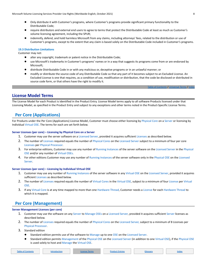- Only distribute it with Customer's programs, where Customer's programs provide significant primary functionality to the Distributable Code;
- require distributors and external end users to agree to terms that protect the Distributable Code at least as much as Customer's volume licensing agreement, including the SPUR;
- indemnify, defend, and hold harmless Microsoft from any claims, including attorneys' fees, related to the distribution or use of Customer's programs, except to the extent that any claim is based solely on the Distributable Code included in Customer's programs.

### **19.3 Distribution Limitations**

Customer may not:

- alter any copyright, trademark or patent notice in the Distributable Code;
- use Microsoft's trademarks in Customer's programs' names or in a way that suggests its programs come from or are endorsed by Microsoft;
- distribute Distributable Code in or with any malicious or, deceptive programs or in an unlawful manner; or
- modify or distribute the source code of any Distributable Code so that any part of it becomes subject to an Excluded License. An Excluded License is one that requires, as a condition of use, modification or distribution, that the code be disclosed or distributed in source code form, or that others have the right to modify it.

Table of [Contents](#page-1-0) / [Universal](#page-4-1) Terms / [Index](#page-33-0)

### <span id="page-7-0"></span>**License Model Terms**

The License Model for each Product is identified in the Product Entry. License Model terms apply to all software Products licensed under that Licensing Model, as specified in the Product Entry and subject to any exceptions and other terms noted in the Product-Specific License Terms.

### <span id="page-7-1"></span>**Per Core (Applications)**

For Products under the Per Core (Applications) License Model, Customer must choose either licensing by Physical Core on a Server or licensing by Individual Virtual OSE. The terms for each are set forth below.

### **Server Licenses (per core) – Licensing by Physical Core on a Server**

- 1. Customer may use the server software on a Licensed Server, provided it acquires sufficient Licenses as described below.
- 2. The number of Licenses required equals the number of Physical Cores on the Licensed Server subject to a minimum of four per core Licenses per Physical Processor.
- 3. For enterprise editions, Customer may use any number of Running Instances of the server software on the Licensed Server in the Physical OSE and/or any number of Virtual OSEs.
- 4. For other editions Customer may use any number of Running Instances of the server software only in the Physical OSE on the Licensed Server.

### **Server Licenses (per core) – Licensing by Individual Virtual OSE**

- 1. Customer may use any number of Running Instances of the server software in any Virtual OSE on the Licensed Server, provided it acquires sufficient Licenses as described below.
- 2. The number of Licenses required equals the number of Virtual Cores in the Virtual OSE, subject to a minimum of four License per Virtual OSE.
- 3. If any Virtual Core is at any time mapped to more than one Hardware Thread, Customer needs a License for each Hardware Thread to which it is mapped.

### <span id="page-7-2"></span>**Per Core (Management)**

### **Server Management Licenses (per core)**

- 1. Customer may use the software on any Server to Manage OSEs on a Licensed Server, provided it acquires sufficient Server licenses as described below.
- 2. The number of Licenses required equals the number of Physical Cores on the Licensed Server, subject to a minimum of 8 Licenses per Physical Processor.
- 3. Standard edition
	- Standard edition permits use of the software to Manage up to one OSE on the Licensed Server.
	- Standard edition permits Management of the Physical OSE on the Licensed Server (in addition to one Virtual OSE), if the Physical OSE is used solely to host and Manage the Virtual OSE.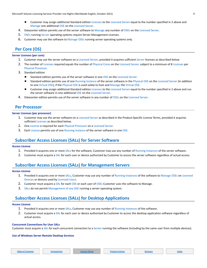- Customer may assign additional Standard edition Licenses to the Licensed Server equal to the number specified in 2 above and Manage one additional OSE on the Licensed Server.
- 4. Datacenter edition permits use of the server software to Manage any number of OSEs on the Licensed Server.
- 5. OSEs running Server operating systems require Server Management Licenses.
- 6. Customer may use the software to Manage OSEs running server operating systems only.

### <span id="page-8-5"></span><span id="page-8-0"></span>**Per Core (OS)**

### **Server Licenses (per core)**

- 1. Customer may use the server software on a Licensed Server, provided it acquires sufficient Server licenses as described below.
- 2. The number of Licenses required equals the number of Physical Cores on the Licensed Server, subject to a minimum of 8 Licenses per Physical Processor.
- 3. Standard edition
	- Standard edition permits use of the server software in one OSE on the Licensed Server.
	- Standard edition permits use of one Running Instance of the server software in the Physical OSE on the Licensed Server (in addition to one Virtual OSE), if the Physical OSE is used solely to host and Manage the Virtual OSE.
	- Customer may assign additional Standard edition Licenses to the Licensed Server equal to the number specified in 2 above and run the server software in one additional OSE on the Licensed Server.
- 4. Datacenter edition permits use of the server software in any number of OSEs on the Licensed Server.

### <span id="page-8-1"></span>**Per Processor**

### **Server Licenses (per processor)**

- 1. Customer may use the server software on a Licensed Server as described in the Product-Specific License Terms, provided it acquires sufficient Licenses as described below.
- 2. One License is required for each Physical Processor on a Licensed Server.
- 3. Each License permits use of one Running Instance of the server software in one OSE.

### <span id="page-8-2"></span>**Subscriber Access Licenses (SALs) for Server Software**

### **Access License**

- 1. Provided it acquires one or more SALs for the software, Customer may use any number of Running Instances of the server software.
- 2. Customer must acquire a SAL for each user or device authorized by Customer to access the server software regardless of actual access.

### <span id="page-8-3"></span>**Subscriber Access Licenses (SALs) for Management Servers**

### **Access License**

- 1. Provided it acquires one or more SALs, Customer may use any number of Running Instances of the software to Manage OSEs on Licensed Devices or devices used by Licensed Users.
- 2. Customer must acquire a SAL for each OSE or each user of OSEs Customer uses the software to Manage.
- 3. SALs do not permit Management of any OSE running a server operating system.

### <span id="page-8-4"></span>**Subscriber Access Licenses (SALs) for Desktop Applications**

### **Access License**

- 1. Provided it acquires one or more SALs, Customer may use any number of Running Instances of the software.
- 2. Customer must acquire a SAL for each user or device authorized by Customer to access the desktop application software regardless of actual access.

### **Concurrent Connections for User SALs**

Customer must acquire a SAL for each concurrent connection to a Server running the software (including by the same user from multiple devices).

### **Use of Windows Server Remote Desktop Services**

|  | <b>Table of Contents</b> |  |
|--|--------------------------|--|
|  |                          |  |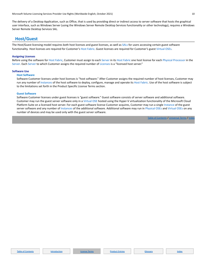The delivery of a Desktop Application, such as Office, that is used by providing direct or indirect access to server software that hosts the graphical user interface, such as Windows Server (using the Windows Server Remote Desktop Services functionality or other technology), requires a Windows Server Remote Desktop Services SAL.

### <span id="page-9-0"></span>**Host/Guest**

The Host/Guest licensing model requires both host licenses and guest licenses, as well as SALs for users accessing certain guest software functionality. Host licenses are required for Customer's Host Fabric. Guest licenses are required for Customer's guest Virtual OSEs.

### **Assigning Licenses**

Before using the software for Host Fabric, Customer must assign to each Server in its Host Fabric one host license for each Physical Processor in the Server. Each Server to which Customer assigns the required number of Licenses is a "licensed host server."

#### **Software Use**

### **Host Software**

Software Customer licenses under host licenses is "host software." After Customer assigns the required number of host licenses, Customer may run any number of Instances of the host software to deploy, configure, manage and operate its Host Fabric. Use of the host software is subject to the limitations set forth in the Product Specific License Terms section.

### **Guest Software**

Software Customer licenses under guest licenses is "guest software." Guest software consists of server software and additional software. Customer may run the guest server software only in a Virtual OSE hosted using the Hyper-V virtualization functionality of the Microsoft Cloud Platform Suite on a licensed host server. For each guest software license Customer acquires, Customer may run a single Instance of the guest server software and any number of Instances of the additional software. Additional software may run in Physical OSEs and Virtual OSEs on any number of devices and may be used only with the guest server software.

### Table of [Contents](#page-1-0) / [Universal](#page-4-1) Terms / Inde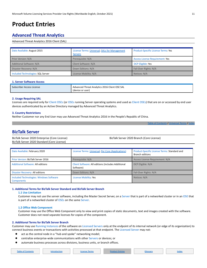# <span id="page-10-0"></span>**Product Entries**

### <span id="page-10-1"></span>**Advanced Threat Analytics**

### Advanced Threat Analytics 2016 Client (SAL)

| Date Available: August 2015       | License Terms: Universal; SALs for Management<br><b>Servers</b> | <b>Product-Specific License Terms: Yes</b> |
|-----------------------------------|-----------------------------------------------------------------|--------------------------------------------|
| Prior Version: N/A                | Prerequisite: N/A                                               | <b>Access License Requirement: Yes</b>     |
| Additional Software: N/A          | Client Software: N/A                                            | DCP Eligible: Yes                          |
| Disaster Recovery: N/A            | Down Editions: N/A                                              | Fail-Over Rights: N/A                      |
| Included Technologies: SQL Server | License Mobility: N/A                                           | Notices: N/A                               |

### **1. Server Software Access**

| Subscriber Access License | Advanced Threat Analytics 2016 Client OSE SAL |
|---------------------------|-----------------------------------------------|
|                           | . (device or user)                            |

### **2. Usage Requiring SAL**

Licenses are required only for Client OSEs (or OSEs running Server operating systems and used as Client OSEs) that are on or accessed by end user devices authenticated by an Active Directory managed by Advanced Threat Analytics.

#### **3. Country Restrictions**

Neither Customer nor any End User may use Advanced Threat Analytics 2016 in the People's Republic of China.

Table of [Contents](#page-1-0) / [Universal](#page-4-1) Terms / [Index](#page-33-0)

### <span id="page-10-2"></span>**BizTalk Server**

BizTalk Server 2020 Enterprise (Core License) BizTalk Server 2020 Standard (Core License) BizTalk Server 2020 Branch (Core License)

| Date Available: February 2020                                | License Terms: Universal; Per Core (Applications)               | Product-Specific License Terms: Standard and<br><b>Branch editions</b> |
|--------------------------------------------------------------|-----------------------------------------------------------------|------------------------------------------------------------------------|
| Prior Version: BizTalk Server 2016                           | Prerequisite: N/A                                               | Access License Requirement: N/A                                        |
| <b>Additional Software: All editions</b>                     | Client Software: All editions (includes Additional<br>Software) | DCP Eligible: N/A                                                      |
| Disaster Recovery: All editions                              | Down Editions: N/A                                              | Fail-Over Rights: N/A                                                  |
| Included Technologies: Windows Software<br><b>Components</b> | License Mobility: Yes                                           | Notices: N/A                                                           |

### **1. Additional Terms for BizTalk Server Standard and BizTalk Server Branch**

#### **1.1 Use Limitation**

Customer may not use the server software, including the Master Secret Server, on a Server that is part of a networked cluster or in an OSE that is part of a networked cluster of OSEs on the same Server.

#### **1.2 Office Web Component**

Customer may use the Office Web Component only to view and print copies of static documents, text and images created with the software. Customer does not need separate licenses for copies of the component.

### **2. Additional Terms for BizTalk Server Branch**

Customer may use Running Instances of the software on Licensed Servers only at the endpoint of its internal network (or edge of its organization) to connect business events or transactions with activities processed at that endpoint. The Licensed Server may not:

- act as the central node in a "hub and spoke" networking model;
- centralize enterprise-wide communications with other Servers or devices; or
- automate business processes across divisions, business units, or branch offices.

| <b>Table of Contents</b> |  | introductio <sub>r</sub><br>. |  | License Terms |  | ict Entries |  | Glossarv |  | Index |
|--------------------------|--|-------------------------------|--|---------------|--|-------------|--|----------|--|-------|
|--------------------------|--|-------------------------------|--|---------------|--|-------------|--|----------|--|-------|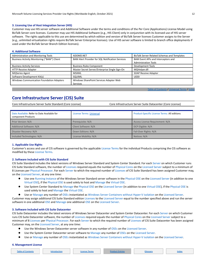### **3. Licensing Use of Host Integration Server (HIS)**

Customer may use HIS server software and Additional Software under the terms and conditions of the Per Core (Applications) License Model using BizTalk Server core licenses. Customer may use HIS Additional Software (e.g., HIS Client) only in conjunction with its licensed use of HIS server software. The rights applicable to this use are determined by which edition and version of BizTalk Server licenses Customer assigns to the Server (e.g., unlimited virtualization rights require BizTalk Server Enterprise licenses). Use of HIS server software is limited to branch office deployments if used under the BizTalk Server Branch Edition licenses).

### **4. Additional Software**

| Administration and Monitoring Tools         | ADOMD.NET                                        | BizTalk Server Related Schemas and Templates |
|---------------------------------------------|--------------------------------------------------|----------------------------------------------|
| Business Activity Monitoring ("BAM") Client | BAM Alert Provider for SQL Notification Services | BAM Event APIs and Interceptors and          |
|                                             |                                                  | <b>Administration Tools</b>                  |
| <b>Business Activity Services</b>           | <b>Business Rules Component</b>                  | Development Tools                            |
| <b>HTTP Receive Adapter</b>                 | Master Secret Server/Enterprise Single Sign-On   | MQHelper.dll                                 |
| <b>MQSeries Agent</b>                       | <b>MSXML</b>                                     | <b>SOAP Receive Adapter</b>                  |
| Software Development Kit(s)                 | SOLXML                                           | UDDI                                         |
| Windows Communication Foundation Adapters   | Windows SharePoint Services Adapter Web          |                                              |
|                                             | Services                                         |                                              |

e of [Contents](#page-1-0) / [Universal](#page-4-1) Terms / [Index](#page-33-0)

### <span id="page-11-0"></span>**Core Infrastructure Server (CIS) Suite**

Core Infrastructure Server Suite Standard (Core License) Core Infrastructure Server Suite Datacenter (Core License)

| Date Available: Refer to Date Available for<br>component Products | <b>License Terms: Universal</b> | Product-Specific License Terms: All editions |
|-------------------------------------------------------------------|---------------------------------|----------------------------------------------|
| Prior Version: N/A                                                | Prerequisite: N/A               | Access License Requirement: N/A              |
| Additional Software: N/A                                          | Client Software: N/A            | DCP Eligible: N/A                            |
| Disaster Recovery: N/A                                            | Down Editions: N/A              | Fail-Over Rights: N/A                        |
| Included Technologies: N/A                                        | License Mobility: N/A           | Notices: N/A                                 |

### **1. Applicable Use Rights**

Customer's access and use of CIS software is governed by the applicable License Terms for the individual Products comprising the CIS software as modified by these License Terms.

### **2. Software Included with CIS Suite Standard**

CIS Suite Standard includes the latest versions of Windows Server Standard and System Center Standard. For each Server on which Customer runs CIS Suite Standard software, the number of Licenses required equals the number of Physical Cores on the Licensed Server subject to a minimum of 8 Licenses per Physical Processor. For each Server to which the required number of Licenses of CIS Suite Standard has been assigned Customer may, on the Licensed Server, at any one time:

- Use one Running Instance of the Windows Server Standard server software in the Physical OSE on the Licensed Server (in addition to one Virtual OSE), if the Physical OSE is used solely to host and Manage the Virtual OSE.
- Use System Center Standard to Manage the Physical OSE on the Licensed Server (in addition to one Virtual OSE), if the Physical OSE is used solely to host and Manage the Virtual OSE.
- Use or Manage any number of OSEs instantiated as Windows Server Containers without Hyper-V isolation on the Licensed Server.

Customer may assign additional CIS Suite Standard edition Licenses to the Licensed Server equal to the number specified above and run the server software in one additional OSE and Manage one additional OSE on the Licensed Server.

### **3. Software Included with CIS Suite Datacenter**

CIS Suite Datacenter includes the latest versions of Windows Server Datacenter and System Center Datacenter. For each Server on which Customer runs CIS Suite Datacenter software, the number of Licenses required equals the number of Physical Cores on the Licensed Server subject to a minimum of 8 Licenses per Physical Processor. For each Server to which the required number of Licenses of CIS Suite Datacenter has been assigned Customer may, on the Licensed Server, at any one time:

- Use the Windows Server Datacenter server software in any number of OSEs on the Licensed Server.
- Use the System Center Datacenter server software to Manage any number of OSEs on the Licensed Server.
- Use or Manage any number of OSEs instantiated as Windows Server Containers without Hyper-V isolation on the Licensed Server.

#### **4. Management License**

| <b>Table of Contents</b> | 'ntroduction | License Terms | <b>Product Entries</b> | Glossarv | Index |
|--------------------------|--------------|---------------|------------------------|----------|-------|
|--------------------------|--------------|---------------|------------------------|----------|-------|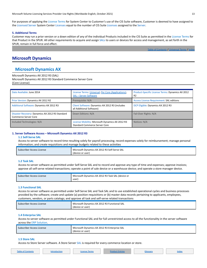For purposes of applying the License Terms for System Center to Customer's use of the CIS Suite software, Customer is deemed to have assigned to the Licensed Server System Center Licenses equal to the number of CIS Suite Licenses assigned to the Server.

### **5. Additional Terms**

Customer may run a prior version or a down edition of any of the individual Products included in the CIS Suite as permitted in the License Terms for that Product in the SPUR. All other requirements to acquire and assign SALs to users or devices for access and management, as set forth in the SPUR, remain in full force and effect.

Table of [Contents](#page-1-0) / [Universal](#page-4-1) Terms / Inde

### <span id="page-12-0"></span>**Microsoft Dynamics**

### <span id="page-12-1"></span>**Microsoft Dynamics AX**

Microsoft Dynamics AX 2012 R3 (SAL) Microsoft Dynamics AX 2012 R3 Standard Commerce Server Core (Core License)

| Date Available: June 2014                                                      | License Terms: Universal; Per Core (Applications),<br><b>SAL - Server Software</b>      | Product-Specific License Terms: Dynamics AX 2012<br>R <sub>2</sub> |
|--------------------------------------------------------------------------------|-----------------------------------------------------------------------------------------|--------------------------------------------------------------------|
| Prior Version: Dynamics AX 2012 R2                                             | Prerequisite: N/A                                                                       | <b>Access License Requirement: SAL editions</b>                    |
| Additional Software: Dynamics AX 2012 R3                                       | Client Software: Dynamics AX 2012 R3 (includes<br>all Additional Software)              | DCP Eligible: Dynamics AX 2012 R3                                  |
| Disaster Recovery: Dynamics AX 2012 R3 Standard<br><b>Commerce Server Core</b> | Down Editions: N/A                                                                      | Fail-Over Rights: N/A                                              |
| Included Technologies: N/A                                                     | License Mobility: Microsoft Dynamics AX 2012 R3<br><b>Standard Commerce Server Core</b> | Notices: N/A                                                       |

### **1. Server Software Access – Microsoft Dynamics AX 2012 R3**

### **1.1 Self-Serve SAL**

Access to server software to record time resulting solely for payroll processing; record expenses solely for reimbursement; manage personal information; and create requisitions and manage budgets related to these activities

| Subscriber Access License | Microsoft Dynamics AX 2012 R3 Self-Serve SAL |
|---------------------------|----------------------------------------------|
|                           | (device or user)                             |

### **1.2 Task SAL**

Access to server software as permitted under Self-Serve SAL and to record and approve any type of time and expenses; approve invoices; approve all self-serve related transactions; operate a point of sale device or a warehouse device; and operate a store manager device.

| Subscriber Access License | Microsoft Dynamics AX 2012 R3 Task SAL (device or |
|---------------------------|---------------------------------------------------|
|                           | user)                                             |

### **1.3 Functional SAL**

Access to server software as permitted under Self-Serve SAL and Task SAL and to use established operational cycles and business processes provided by the software; create and update (a) position requisitions or (b) master data records pertaining to applicants, employees, customers, vendors, or parts catalogs; and approve all task and self-serve related transactions

| Subscriber Access License | Microsoft Dynamics AX 2012 R3 Functional SAL |
|---------------------------|----------------------------------------------|
|                           | (device or user)                             |

### **1.4 Enterprise SAL**

Access to server software as permitted under Functional SAL and for full unrestricted access to all the functionality in the server software across the ERP Solution.

| Subscriber Access License | Microsoft Dynamics AX 2012 R3 Enterprise SAL |
|---------------------------|----------------------------------------------|
|                           | (device or user)                             |

### **1.5 Store SAL**

Access to Store Server software. A Store Server SAL is required for every commerce location or store.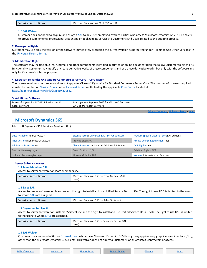| Subse.<br>License<br>$\sim$<br>$r:n \wedge n$<br>TIDE. | , Store SAL<br>Dynamics AX 2012 R3<br>.<br>Microsoft |
|--------------------------------------------------------|------------------------------------------------------|
|--------------------------------------------------------|------------------------------------------------------|

### **1.6 SAL Waiver**

Customer does not need to acquire and assign a SAL to any user employed by third parties who access Microsoft Dynamics AX 2012 R3 solely to provide supplemental professional accounting or bookkeeping services to Customer's End Users related to the auditing process.

### **2. Downgrade Rights**

Customer may use only the version of the software immediately preceding the current version as permitted under "Rights to Use Other Versions" in the [Universal License Terms.](#page-4-1)

### **3. Modification Right**

The software may include plug-ins, runtime, and other components identified in printed or online documentation that allow Customer to extend its functionality. Customer may modify or create derivative works of these components and use those derivative works, but only with the software and only for Customer's internal purposes.

### **4. Microsoft Dynamics AX Standard Commerce Server Core -- Core Factor**

The License minimum per processor does not apply to Microsoft Dynamics AX Standard Commerce Server Core. The number of Licenses required equals the number of Physical Cores on the Licensed Server multiplied by the applicable Core Factor located at <http://go.microsoft.com/fwlink/?LinkID=229882>.

### **5. Additional Software**

| Microsoft Dynamics AX 2012 R3 Windows Rich | Management Reporter 2012 for Microsoft Dynamics |  |
|--------------------------------------------|-------------------------------------------------|--|
| Client Software                            | AX Designer Client Software                     |  |
|                                            |                                                 |  |

### <span id="page-13-0"></span>**Microsoft Dynamics 365**

### Microsoft Dynamics 365 Services Provider (SAL)

| Date Available: February 2017    | License Terms: Universal; SAL - Server Software   | <b>Product-Specific License Terms: All editions</b> |
|----------------------------------|---------------------------------------------------|-----------------------------------------------------|
| Prior Version: Dynamics CRM 2016 | Prerequisite: N/A                                 | <b>Access License Requirement: Yes</b>              |
| <b>Additional Software: Yes</b>  | Client Software: includes all Additional Software | DCP Eligible: Yes                                   |
| Disaster Recovery: N/A           | Down Editions: N/A                                | Fail-Over Rights: N/A                               |
| Included Technologies: N/A       | License Mobility: N/A                             | Notices: Internet-based Features                    |

#### **1. Server Software Access**

**1.1 Team Members SAL**

Access to server software for Team Members use.

| Subscriber Access License | Microsoft Dynamics 365 for Team Members SAL<br>user) |
|---------------------------|------------------------------------------------------|
|---------------------------|------------------------------------------------------|

### **1.2 Sales SAL**

Access to server software for Sales use and the right to install and use Unified Service Desk (USD). The right to use USD is limited to the users to whom SALs are assigned.

| Subscriber<br><sup>.</sup> Access License | Microsoft Dynamics 365 for Sales SAL (user) |
|-------------------------------------------|---------------------------------------------|
|-------------------------------------------|---------------------------------------------|

### **1.3 Customer Service SAL**

Access to server software for Customer Servicel use and the right to install and use Unified Service Desk (USD). The right to use USD is limited to the users to whom SALs are assigned.

| Subscriber Access License | Microsoft Dynamics 365 fo Customer Service SAL<br>(user |
|---------------------------|---------------------------------------------------------|
|---------------------------|---------------------------------------------------------|

### **1.4 SAL Waiver**

Customer does not need a SAL for External Users who access Microsoft Dynamics 365 through any application / graphical user interface (GUI), other than the Microsoft Dynamics 365 clients. This waiver does not apply to Customer's or its Affiliates' contractors or agents.

Table of [Contents](#page-1-0) / [Universal](#page-4-1) Terms / [Index](#page-33-0)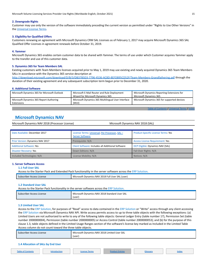### **2. Downgrade Rights**

Customer may use only the version of the software immediately preceding the current version as permitted under "Rights to Use Other Versions" in the [Universal License Terms.](#page-4-1)

### **3. Eligibility for Qualified Offers**

Customers renewing an agreement with Microsoft Dynamics CRM SAL Licenses as of February 1, 2017 may acquire Microsoft Dynamics 365 SAL Qualified Offer Licenses in agreement renewals before October 31, 2019.

### **4. Yammer**

Microsoft Dynamics 365 enables certain customer data to be shared with Yammer. The terms of use under which Customer acquires Yammer apply to the transfer and use of this customer data.

### **5. Dynamics 365 for Team Members SAL**

Existing customers with Team Members licenses acquired prior to May 1, 2019 may use existing and newly acquired Dynamics 365 Team Members SALs in accordance with the Dynamics 365 service description at

<http://download.microsoft.com/download/D/B/3/DB37B5D3-7796-4536-AC8D-8EFDB95CD52F/Team-Members-Grandfathering.pdf> through the duration of their existing agreement and any subsequent subscription term begun prior to December 31, 2020.

### **6. Additional Software**

| Microsoft Dynamics 365 for Microsoft Outlook | Microsoft E-Mail Router and Rule Deployment        | Microsoft Dynamics Reporting Extensions for  |  |  |  |
|----------------------------------------------|----------------------------------------------------|----------------------------------------------|--|--|--|
|                                              | Wizard for Microsoft Dynamics 365                  | Microsoft Dynamics 365                       |  |  |  |
| Microsoft Dynamics 365 Report Authoring      | Microsoft Dynamics 365 Multilingual User Interface | Microsoft Dynamics 365 for supported devices |  |  |  |
| Extensions                                   | (MUI)                                              |                                              |  |  |  |
|                                              |                                                    |                                              |  |  |  |

### <span id="page-14-0"></span>**Microsoft Dynamics NAV**

| ' 2018 (Processor     | 2018                  |
|-----------------------|-----------------------|
| , NAV                 | . ISAL) -             |
| License               | Dynamics              |
| Dynamics              | Microsof <sup>4</sup> |
| Microsof <sup>4</sup> | <b>NAV</b>            |
|                       |                       |

| Date Available: December 2017    | License Terms: Universal; Per Processor, SAL-<br><b>Server Software</b> | Product-Specific License Terms: Yes    |  |
|----------------------------------|-------------------------------------------------------------------------|----------------------------------------|--|
| Prior Version: Dynamics NAV 2017 | Prerequisite: N/A                                                       | <b>Access License Requirement: Yes</b> |  |
| <b>Additional Software: Yes</b>  | Client Software: Includes all Additional Software                       | DCP Eligible: Dynamics NAV (SAL)       |  |
| Disaster Recovery: Yes           | Down Editions: N/A                                                      | Fail-Over Rights: N/A                  |  |
| Included Technologies: N/A       | License Mobility: N/A                                                   | Notices: N/A                           |  |

### **1. Server Software Access**

**1.1 Full User SAL**

Access to the Starter Pack and Extended Pack functionality in the server software across the ERP Solution.

| Subscriber Access License | Microsoft Dynamics NAV 2018 Full User SAL (user) |
|---------------------------|--------------------------------------------------|
|                           |                                                  |

### **1.2 Standard User SAL**

Access to the Starter Pack functionality in the server software across the ERP Solution.

| Subscriber Access License | Microsoft Dynamics NAV 2018 Standard User SAL |
|---------------------------|-----------------------------------------------|
|                           | (user                                         |

### **1.3 Limited User SAL**

Access to the ERP Solution, for purposes of "Read" access to data contained in the ERP Solution or "Write" access through any client accessing the ERP Solution via Microsoft Dynamics NAV API. Write access permits access to up to three table objects with the following exceptions: (a) Limited Users are not authorized to write to any of the following table objects: General Ledger Entry (table number 17), Permission Set (table number 2000000004), Permission (table number 2000000005) or Access Control (table number 2000000053); and (b) for the purpose of this clause 1.3, table objects defined in the Limited Usage Ranges section of the software's license key marked as Included in the Limited Table Access column do not count toward the three table objects.

| Subscriber Access License | Microsoft Dynamics NAV 2018 Limited User SAL<br>(user' |
|---------------------------|--------------------------------------------------------|
|                           |                                                        |

#### **1.4 Allocation of SALs by End User**

| <b>Table of Contents</b> |  | ntroduction |  | <b>License Terms</b> |  | <b>Product Entries</b> |  | <u>Glossan</u> |  | ndex |
|--------------------------|--|-------------|--|----------------------|--|------------------------|--|----------------|--|------|
|--------------------------|--|-------------|--|----------------------|--|------------------------|--|----------------|--|------|

Table of [Contents](#page-1-0) / [Universal](#page-4-1) Terms / [Index](#page-33-0)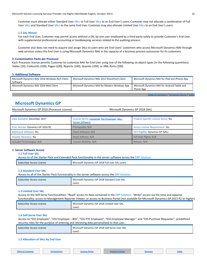Customer must allocate either Standard User SALs or Full User SALs to an End User's users. Customer may not allocate a combination of Full User SALs and Standard User SALs to the same End User. Customer may also allocate Limited User SALs to an End User's users.

### **1.5 SAL Waiver**

For each End User, Customer may permit access without a SAL by one user employed by a third party solely to provide Customer's End User with supplemental professional accounting or bookkeeping services related to the auditing process.

Customer also does not need to acquire and assign SALs to users who are End Users' customers who access Microsoft Dynamics NAV through web services unless the End User is using Microsoft Dynamics NAV in the capacity of a business process outsourcer for its customers.

### **2. Customization Packs per Processor**

Each Processor license permits Customer to customize NAV for End User using one of the following six object types (in the following quantities): Tables (10), Codeunits (100), Pages (100), Reports (100), Queries (100), or XML Ports (100).

### **3. Additional Software**

| Microsoft Dynamics NAV 2018 Windows Rich Client<br>Software | Microsoft Dynamics NAV 2017 SharePoint Client | Microsoft Dynamics NAV for iPad and iPhone App             |
|-------------------------------------------------------------|-----------------------------------------------|------------------------------------------------------------|
| Microsoft Dynamics NAV 2018 Web Client                      | Microsoft Dynamics NAV for Modern Windows App | Microsoft Dynamics NAV for Android Tablet and<br>Phone App |

of [Contents](#page-1-0) / [Universal](#page-4-1) Terms / [Index](#page-33-0)

### <span id="page-15-0"></span>**Microsoft Dynamics GP**

| Microsoft Dynamics GP 2018 (Processor License)<br>Microsoft Dynamics GP 2018 (SAL) |
|------------------------------------------------------------------------------------|
|------------------------------------------------------------------------------------|

| Date Available: December 2017      | License Terms: Universal: Per Processor, SAL -<br><b>Server Software</b> | <b>Product-Specific License Terms: Yes</b> |  |
|------------------------------------|--------------------------------------------------------------------------|--------------------------------------------|--|
| Prior Version: Dynamics GP 2016 R2 | Prerequisite: N/A                                                        | <b>Access License Requirement: Yes</b>     |  |
| <b>Additional Software: Yes</b>    | Client Software: N/A                                                     | DCP Eligible: Dynamics GP (SAL)            |  |
| <b>Disaster Recovery: Yes</b>      | Down Editions: N/A                                                       | Fail-Over Rights: N/A                      |  |
| Included Technologies: N/A         | License Mobility: N/A                                                    | Notices: N/A                               |  |

### **1. Server Software Access**

**1.1 Full User SAL**

Access to of the Starter Pack and Extended Pack functionality in the server software across the ERP Solution.

| r Access Licensel<br><b>Subs</b><br>rine<br>. | 2018 Full<br>. (user'<br>rs GP.<br>User<br>Microsofi<br>Dynamic <sup>r</sup><br>SAL |
|-----------------------------------------------|-------------------------------------------------------------------------------------|
|                                               |                                                                                     |

### **1.2 Standard User SAL**

Access to all of the Starter Pack functionality in the server software across the ERP Solution.

| Subscriber Access License | Microsoft Dynamics GP 2018 Standard User SAL |
|---------------------------|----------------------------------------------|
|                           | (user                                        |

### **1.3 Limited User SAL**

Access to the Self-Serve functionalities: "Read" access to data contained in the ERP Solution; "Write" access via the time and expense functionality; access to Management Reporter Viewer; or access to Business Portal (not available for Microsoft Dynamics GP 2015 R2 or higher).

| Subscriber Access License | Microsoft Dynamics GP 2018 Limited User SAL<br>(user) |
|---------------------------|-------------------------------------------------------|
|---------------------------|-------------------------------------------------------|

### **1.4 Self-Serve User SAL**

Access to "ESS Employee", "ESS Employee – BSS", "ESS PTE Employee", "ESS Employee Manager" and "ESS Purchase Requester", predefined security roles for the purpose of entering and retrieving data personalized to that user.

| Microsoft Dynamics GP 2018 Self-Serve User SAL<br>Subscriber Access License<br>(user |
|--------------------------------------------------------------------------------------|
|--------------------------------------------------------------------------------------|

### **1.5 Allocation of SALs by End User**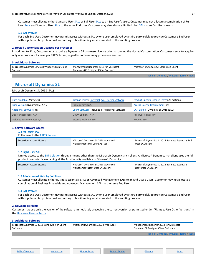Customer must allocate either Standard User SALs or Full User SALs to an End User's users. Customer may not allocate a combination of Full User SALs and Standard User SALs to the same End User. Customer may also allocate Limited User SALs to an End User's users.

### **1.6 SAL Waiver**

For each End User, Customer may permit access without a SAL by one user employed by a third party solely to provide Customer's End User with supplemental professional accounting or bookkeeping services related to the auditing process.

### **2. Hosted Customization Licensed per Processor**

In addition to SALs, Customer must acquire a Dynamics GP processor license prior to running the Hosted Customization. Customer needs to acquire only one processor License per ERP Solution, regardless of how many processors are used.

### **3. Additional Software**

| Microsoft Dynamics GP 2018 Windows Rich Client<br>Software | Management Reporter 2012 for Microsoft<br>* Dynamics GP Designer Client Software | Microsoft Dynamics GP 2018 Web Client       |
|------------------------------------------------------------|----------------------------------------------------------------------------------|---------------------------------------------|
|                                                            |                                                                                  | Table of Contents / Universal Terms / Index |

### <span id="page-16-0"></span>**Microsoft Dynamics SL**

### Microsoft Dynamics SL 2018 (SAL)

| Date Available: May 2018        | License Terms: Universal; SAL - Server Software   | <b>Product-Specific License Terms: All editions</b> |
|---------------------------------|---------------------------------------------------|-----------------------------------------------------|
| Prior Version: Dynamics SL 2015 | Prerequisite: N/A                                 | <b>Access License Requirement: Yes</b>              |
| <b>Additional Software: Yes</b> | Client Software: Includes all Additional Software | DCP Eligible: Dynamics SL 2018 (SAL)                |
| Disaster Recovery: N/A          | Down Editions: N/A                                | Fail-Over Rights: N/A                               |
| Included Technologies: N/A      | License Mobility: N/A                             | Notices: N/A                                        |

### **1. Server Software Access**

**1.1 Full User SAL**

#### Full access to the ERP Solution.

| Subscriber Access License | Microsoft Dynamics SL 2018 Advanced | Microsoft Dynamics SL 2018 Business Essentials Full |
|---------------------------|-------------------------------------|-----------------------------------------------------|
|                           | Management Full User SAL (user)     | User SAL (user)                                     |

### **1.2 Light User SAL**

Limited access to the ERP Solution through means other than the Microsoft Dynamics rich client. A Microsoft Dynamics rich client uses the full product user interface enabling all the functionality available in Microsoft Dynamics.

| Subscriber Access License | Microsoft Dynamics SL 2018 Advanced | Microsoft Dynamics SL 2018 Business Essentials |
|---------------------------|-------------------------------------|------------------------------------------------|
|                           | Management Light User SAL (user)    | Light User SAL (user)                          |

### **1.3 Allocation of SALs by End User**

Customer must allocate either Business Essentials SALs or Advanced Management SALs to an End User's users. Customer may not allocate a combination of Business Essentials and Advanced Management SALs to the same End User.

#### **1.4 SAL Waiver**

For each End User, Customer may permit access without a SAL by one user employed by a third party solely to provide Customer's End User with supplemental professional accounting or bookkeeping services related to the auditing process.

### **2. Downgrade Rights**

Customer may use only the version of the software immediately preceding the current version as permitted under "Rights to Use Other Versions" in the [Universal License Terms.](#page-4-1)

### **3. Additional Software**

| Microsoft Dynamics SL 2018 Windows Rich Client | Microsoft Dynamics SL 2018 Web Apps | Management Reporter 2012 for Microsoft      |
|------------------------------------------------|-------------------------------------|---------------------------------------------|
| Software                                       |                                     | <b>Dynamics SL Designer Client Software</b> |
|                                                |                                     |                                             |

Table of [Contents](#page-1-0) / [Universal](#page-4-1) Terms / [Index](#page-33-0)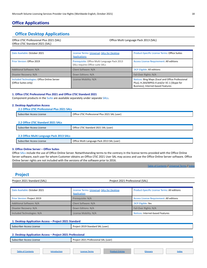### <span id="page-17-0"></span>**Office Applications**

### <span id="page-17-1"></span>**Office Desktop Applications**

Office LTSC Professional Plus 2021 (SAL) Office LTSC Standard 2021 (SAL)

Office Multi Language Pack 2013 (SAL)

| Date Available: October 2021                                        | License Terms: Universal; SALs for Desktop<br><b>Applications</b>                | <b>Product-Specific License Terms: Office Suites</b>                                                                                  |
|---------------------------------------------------------------------|----------------------------------------------------------------------------------|---------------------------------------------------------------------------------------------------------------------------------------|
| Prior Version: Office 2019                                          | Prerequisite: Office Multi Language Pack 2013<br>SALs requires Office suite SALs | Access License Requirement: All editions                                                                                              |
| Additional Software: N/A                                            | Client Software: N/A                                                             | DCP Eligible: All editions                                                                                                            |
| Disaster Recovery: N/A                                              | Down Editions: N/A                                                               | Fail-Over Rights: N/A                                                                                                                 |
| Included Technologies: Office Online Server<br>(Office Suites only) | License Mobility: N/A                                                            | Notices: Bing Maps (Excel and Office Professional<br>Plus); H.264/MPEG-4 and/or VC-1 (Skype for<br>Business); Internet-based Features |

### **1. Office LTSC Professional Plus 2021 and Office LTSC Standard 2021**

Component products in the Suite are available separately under separate SALs.

### **2. Desktop Application Access**

**2.1 Office LTSC Professional Plus 2021 SALs**

| Subscriber Access License | Office LTSC Professional Plus 2021 SAL (user) |
|---------------------------|-----------------------------------------------|
|                           |                                               |

### **2.2 Office LTSC Standard 2021 SALs**

| - Subscriber Access License | Office L<br><b>ITSC Standard 2021 SAL (user)</b> |
|-----------------------------|--------------------------------------------------|
|                             |                                                  |

### **2.3 Office Multi Language Pack 2013 SALs**

| Office<br>r Access License |                                                             |
|----------------------------|-------------------------------------------------------------|
| bscriber                   | -201<br>luser)<br>Pack<br>. Language '<br>SΛ<br>- Mult<br>. |

### **3. Office Online Server – Office Suites**

Office SALs include the use of Office Online Server. Notwithstanding terms to the contrary in the license terms provided with the Office Online Server software, each user for whom Customer obtains an Office LTSC 2021 User SAL may access and use the Office Online Server software. Office Online Server rights are not included with the versions of the software prior to 2016.

Table of [Contents](#page-1-0) / [Universal](#page-4-1) Terms / Inde

### <span id="page-17-2"></span>**Project**

Project 2021 Standard (SAL) Project 2021 Professional (SAL)

| Date Available: October 2021    | License Terms: Universal; SALs for Desktop<br>Application | <b>Product-Specific License Terms: All editions</b> |
|---------------------------------|-----------------------------------------------------------|-----------------------------------------------------|
| Prior Version: Project 2019     | Prerequisite: N/A                                         | <b>Access License Requirement: All editions</b>     |
| <b>Additional Software: N/A</b> | Client Software: N/A                                      | DCP Eligible: Yes                                   |
| Disaster Recovery: N/A          | Down Editions: N/A                                        | Fail-Over Rights: N/A                               |
| Included Technologies: N/A      | License Mobility: N/A                                     | Notices: Internet-based Features                    |

### **1. Desktop Application Access – Project 2021 Standard**

| : Access License<br>Subscriber | luser)<br>Standard SAL<br>וחר |
|--------------------------------|-------------------------------|
|                                |                               |

### **2. Desktop Application Access – Project 2021 Professional** Subscriber Access License Project 2021 Professional SAL (user)

Table of [Contents](#page-1-0) [Introduction](#page-1-1) Introduction [License](#page-4-0) Terms Index [Product](#page-10-0) Entries Index [Glossary](#page-31-0) [Index](#page-33-0)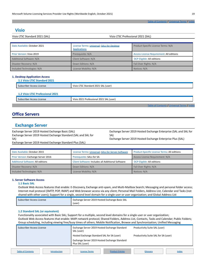Table of [Contents](#page-1-0) / [Universal](#page-4-1) Terms / [Index](#page-33-0)

### <span id="page-18-0"></span>**Visio**

| Visio LTSC Standard 2021 (SAL) | Visio LTSC Professional 2021 (SAL) |
|--------------------------------|------------------------------------|
|                                |                                    |

| Date Available: October 2021     | License Terms: Universal; SALs for Desktop<br><b>Applications</b> | Product-Specific License Terms: N/A             |
|----------------------------------|-------------------------------------------------------------------|-------------------------------------------------|
| <b>Prior Version: Visio 2019</b> | Prerequisite: N/A                                                 | <b>Access License Requirement: All editions</b> |
| Additional Software: N/A         | Client Software: N/A                                              | DCP Eligible: All editions                      |
| Disaster Recovery: N/A           | Down Editions: N/A                                                | Fail-Over Rights: N/A                           |
| Included Technologies: N/A       | License Mobility: N/A                                             | Notices: N/A                                    |

### **1. Desktop Application Access**

| 1.1 Visio LTSC Standard 2021     |                                         |                                             |
|----------------------------------|-----------------------------------------|---------------------------------------------|
| Subscriber Access License        | Visio LTSC Standard 2021 SAL (user)     |                                             |
| 1.2 Visio LTSC Professional 2021 |                                         |                                             |
| Subscriber Access License        | Visio 2021 Professional 2021 SAL (user) |                                             |
|                                  |                                         | Table of Contents / Universal Terms / Index |

### <span id="page-18-1"></span>**Office Servers**

### <span id="page-18-2"></span>**Exchange Server**

Exchange Server 2019 Hosted Exchange Basic (SAL) Exchange Server 2019 Hosted Exchange Standard (SAL and SAL for SA)

Exchange Server 2019 Hosted Exchange Enterprise (SAL and SAL for SA) Exchange Server 2019 Hosted Exchange Enterprise Plus (SAL)

Exchange Server 2019 Hosted Exchange Standard Plus (SAL)

| Date Available: October 2015             | License Terms: Universal; SALs for Server Software | <b>Product-Specific License Terms: All editions</b> |
|------------------------------------------|----------------------------------------------------|-----------------------------------------------------|
| Prior Version: Exchange Server 2016      | Prerequisite: SALs for SA                          | Access License Requirement: N/A                     |
| <b>Additional Software: All editions</b> | Client Software: Includes all Additional Software  | DCP Eligible: All editions                          |
| Disaster Recovery: N/A                   | Down Editions: N/A                                 | Fail-Over Rights: N/A                               |
| Included Technologies: N/A               | License Mobility: N/A                              | Notices: N/A                                        |

### **1. Server Software Access**

### **1.1 Basic SAL**

Outlook Web Access features that enable: E-Discovery, Exchange anti-spam, and Multi-Mailbox Search; Messaging and personal folder access; Internet mail protocol (SMTP, POP, IMAP) and Web browser access via any client; Personal Mail Folders, Address List, Calendar and Tasks (not shared with other users); Support for a single, second level domain for a single user or user organization; and Global Address List

| Subscriber Access License | Exchange Server 2019 Hosted Exchange Basic SAL<br>(user |
|---------------------------|---------------------------------------------------------|

### **1.2 Standard SAL (or equivalent)**

Functionality associated with Basic SAL; Support for a multiple, second level domains for a single user or user organization; Outlook Web Access features that enable: MAPI network protocol; Shared Folders, Address List, Contacts, Tasks and Calendar; Public Folders; Group scheduling, including viewing free/busy times of others; Mobile Notification, Browse and Synchronization; Unified Messaging

| Subscriber Access License                | Exchange Server 2019 Hosted Exchange Standard<br>SAL (user)                                                    |                        | Productivity Suite SAL (user)        |       |
|------------------------------------------|----------------------------------------------------------------------------------------------------------------|------------------------|--------------------------------------|-------|
|                                          | Hosted Exchange Standard SAL for SA (user)<br>Exchange Server 2019 Hosted Exchange Standard<br>Plus SAL (user) |                        | Productivity Suite SAL for SA (user) |       |
| <b>Table of Contents</b><br>Introduction | License Terms                                                                                                  | <b>Product Entries</b> | Glossary                             | Index |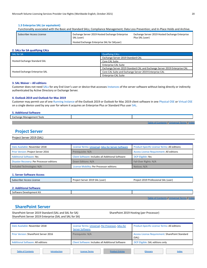### **1.3 Enterprise SAL (or equivalent)**

Functionality associated with the Basic and Standard SALs; Compliance Management; Data Loss Prevention; and In-Place Holds and Archive.

| Subscriber Access License | Exchange Server 2019 Hosted Exchange Enterprise<br>SAL (user) | Exchange Server 2019 Hosted Exchange Enterprise<br>Plus SAL (user) |
|---------------------------|---------------------------------------------------------------|--------------------------------------------------------------------|
|                           | Hosted Exchange Enterprise SAL for SA(user)                   |                                                                    |

### **2. SALs for SA qualifying CALs**

| <b>SAL for SA</b>              | <b>Qualifying CALs</b>                                                    |  |
|--------------------------------|---------------------------------------------------------------------------|--|
|                                | Exchange Server 2019 Standard CAL                                         |  |
| Hosted Exchange Standard SAL   | Core CAL Suite                                                            |  |
|                                | Enterprise CAL Suite                                                      |  |
|                                | Exchange Server 2019 Standard CAL and Exchange Server 2019 Enterprise CAL |  |
| Hosted Exchange Enterprise SAL | Core CAL Suite and Exchange Server 2019 Enterprise CAL                    |  |
|                                | <b>Enterprise CAL Suite</b>                                               |  |

### **3. SAL Waiver – All editions**

Customer does not need SALs for any End User's user or device that accesses Instances of the server software without being directly or indirectly authenticated by Active Directory or Exchange Server.

### **4. Outlook 2019 and Outlook for Mac 2019**

Customer may permit use of one Running Instance of the Outlook 2019 or Outlook for Mac 2019 client software in one Physical OSE or Virtual OSE on a single device used by any user for whom it acquires an Enterprise Plus or Standard Plus user SAL.

### **5. Additional Software**

| $-10o$<br><b>LOOLS</b> |  |
|------------------------|--|
|                        |  |
|                        |  |

### <span id="page-19-0"></span>**Project Server**

Project Server 2019 (SAL)

| Date Available: November 2018             | License Terms: Universal; SALs for Server Software | <b>Product-Specific License Terms: All editions</b> |
|-------------------------------------------|----------------------------------------------------|-----------------------------------------------------|
| Prior Version: Project Server 2016        | Prerequisite: N/A                                  | <b>Access License Requirement: All editions</b>     |
| <b>Additional Software: Yes</b>           | Client Software: Includes all Additional Software  | DCP Eligible: Yes                                   |
| Disaster Recovery: Per Processor editions | Down Editions: N/A                                 | Fail-Over Rights: N/A                               |
| Included Technologies: N/A                | License Mobility: Per Processor editions           | Notices: N/A                                        |

### **1. Server Software Access**

| Subscriber Access License                      | Project Server 2019 SAL (user) | Project 2019 Professional SAL (user) |
|------------------------------------------------|--------------------------------|--------------------------------------|
| $\sim$ $\sim$ $\sim$ $\sim$ $\sim$ $\sim$<br>. |                                |                                      |

### **2. Additional Software**

Software Development Kit

e of [Contents](#page-1-0) / [Universal](#page-4-1) Terms / Inde

### <span id="page-19-1"></span>**SharePoint Server**

SharePoint Server 2019 Standard (SAL and SAL for SA) SharePoint Server 2019 Enterprise (SAL and SAL for SA) SharePoint 2019 Hosting (per Processor)

| Date Available: November 2018                | License Terms: Universal; Per Processor, SALs for<br><b>Server Software</b> | <b>Product-Specific License Terms: All editions</b>             |
|----------------------------------------------|-----------------------------------------------------------------------------|-----------------------------------------------------------------|
| <b>Prior Version: SharePoint Server 2016</b> | Prerequisite: N/A                                                           | <b>Access License Requirement: SharePoint Standard</b><br>(SAL) |
| Additional Software: All editions            | Client Software: Includes all Additional Software                           | DCP Eligible: SAL editions only                                 |
| <b>Table of Contents</b><br>Introduction     | <b>Product Entries</b><br><b>License Terms</b>                              | Glossary<br>Index                                               |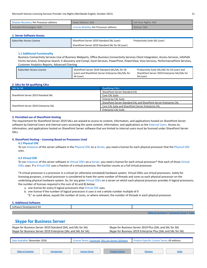| Disaster Recovery: Per Processor editions | Down Editions: N/A                       | Fail-Over Rights: N/A |
|-------------------------------------------|------------------------------------------|-----------------------|
| Included Technologies: N/A                | License Mobility: Per Processor editions | Notices: N/A          |

### **1. Server Software Access**

| Subscriber Access License | SharePoint Server 2019 Standard SAL (user)        | Productivity Suite SAL (user) |
|---------------------------|---------------------------------------------------|-------------------------------|
|                           | SharePoint Server 2019 Standard SAL for SA (user) |                               |

### **1.1 Additional Functionality**

Business Connectivity Services Line of Business Webparts, Office Business Connectivity Services Client Integration, Access Services, InfoPath Forms Services, Enterprise Search, E-discovery and Compl, Excel Services, PowerPivot, PowerView, Visio Services, PerformancePoint Services, Customer Analytics Reports, Advanced Charting

| Subscriber Access License | SharePoint Server 2019 Standard SAL/SAL for SA                     | Productivity Suite SAL/SAL for SA (user) and               |
|---------------------------|--------------------------------------------------------------------|------------------------------------------------------------|
|                           | (user) and SharePoint Server Enterprise SAL/SAL for<br>` SA (user) | SharePoint Server 2019 Enterprise SAL/SAL for<br>SA (user) |

### **2. SALs for SA qualifying CALs**

| SAL for SA                            | <b>Qualifying CALS</b>                                              |  |
|---------------------------------------|---------------------------------------------------------------------|--|
|                                       | SharePoint Server Standard CAL                                      |  |
| SharePoint Server 2019 Standard SAL   | Core CAL Suite                                                      |  |
|                                       | Enterprise CAL Suite                                                |  |
|                                       | SharePoint Server Standard CAL and SharePoint Server Enterprise CAL |  |
| SharePoint Server 2019 Enterprise SAL | Core CAL Suite and SharePoint Server Enterprise CAL                 |  |
|                                       | <b>Enterprise CAL Suite</b>                                         |  |

### **3. Permitted use of SharePoint Hosting**

The requirement for SharePoint Server 2019 SALs are waived to access to content, information, and applications hosted on SharePoint Server software by External Users and internal users accessing the same content, information, and applications as the External Users. Access to, information, and applications hosted on SharePoint Server software that are limited to internal users must be licensed under SharePoint Server SALs.

### **4. SharePoint Hosting – Licensing Based on Processors Used**

### **4.1 Physical OSE**

To run Instances of the server software in the Physical OSE on a Server, you need a license for each physical processor that the Physical OSE uses.

### **4.2 Virtual OSE**

To run Instances of the server software in Virtual OSEs on a Server, you need a license for each virtual processor\* that each of those Virtual OSEs uses. If a Virtual OSE uses a fraction of a virtual processor, the fraction counts as a full virtual processor.

\*A virtual processor is a processor in a virtual (or otherwise emulated) hardware system. Virtual OSEs use virtual processors. Solely for licensing purposes, a virtual processor is considered to have the same number of threads and cores as each physical processor on the underlying physical hardware system. So, for any given Virtual OSEs on a server on which each physical processor provides X logical processors, the number of licenses required is the sum of A) and B) below:

- a. one license for every X logical processors that Virtual OSE uses
- b. one license if the number of logical processors it uses is not a whole number multiple of X

"X," as used above, equals the number of cores, or where relevant, the number of threads in each physical processor.

### **5. Additional Software**

| . . |  |
|-----|--|
|     |  |

Table of [Contents](#page-1-0) / [Universal](#page-4-1) Terms / Inde

### <span id="page-20-0"></span>**Skype for Business Server**

| Skype for Business Server 2019 Standard (SAL and SAL for SA)   | Skype for Business Server 2019 Plus (SAL and SAL for SA)     |
|----------------------------------------------------------------|--------------------------------------------------------------|
| Skype for Business Server 2019 Enterprise (SAL and SAL for SA) | Skype for Business 2019 Enterprise Plus (SAL and SAL for SA) |

| Date Available: November 2018 |              | License Terms: Universal; SALs for Server Software |                        | <b>Product-Specific License Terms: All editions</b> |              |
|-------------------------------|--------------|----------------------------------------------------|------------------------|-----------------------------------------------------|--------------|
|                               |              |                                                    |                        |                                                     |              |
| <b>Table of Contents</b>      | Introduction | License Terms                                      | <b>Product Entries</b> | Glossarv                                            | <b>Index</b> |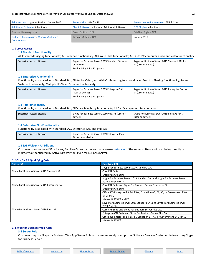| Prior Version: Skype for Business Server 2015         | Prerequisite: SALs for SA                         | <b>Access License Requirement: All Editions</b> |
|-------------------------------------------------------|---------------------------------------------------|-------------------------------------------------|
| <b>Additional Software: All editions</b>              | Client Software: Includes all Additional Software | DCP Eligible: All editions                      |
| Disaster Recovery: N/A                                | Down Editions: N/A                                | Fail-Over Rights: N/A                           |
| Included Technologies: Windows Software<br>Components | License Mobility: N/A                             | Notices: VC-1                                   |

### **1. Server Access**

### **1.1 Standard Functionality**

All Instant Messaging functionality, All Presence functionality, All Group Chat functionality, All PC-to-PC computer audio and video functionality

| Subscriber Access License | Skype for Business Server 2019 Standard SAL (user<br>or device) | Skype for Business Server 2019 Standard SAL for<br>SA (user or device) |
|---------------------------|-----------------------------------------------------------------|------------------------------------------------------------------------|
|                           | Productivity Suite SAL (user)                                   |                                                                        |

### **1.2 Enterprise Functionality**

Functionality associated with Standard SAL; All Audio, Video, and Web Conferencing functionality, All Desktop Sharing functionality, Room Systems functionality, Multiple HD Video Streams functionality

| Subscriber Access License | Skype for Business Server 2019 Enterprise SAL<br>(user or device) | Skype for Business Server 2019 Enterprise SAL for<br>SA (user or device) |
|---------------------------|-------------------------------------------------------------------|--------------------------------------------------------------------------|
|                           | Productivity Suite SAL (user)                                     |                                                                          |

### **1.3 Plus Functionality**

Functionality associated with Standard SAL; All Voice Telephony functionality, All Call Management functionality

| Subscriber Access License | Skype for Business Server 2019 Plus SAL (user or<br>device) | Skype for Business Server 2019 Plus SAL for SA<br>(user or device) |
|---------------------------|-------------------------------------------------------------|--------------------------------------------------------------------|
|---------------------------|-------------------------------------------------------------|--------------------------------------------------------------------|

### **1.4 Enterprise Plus Functionality**

Functionality associated with Standard SAL, Enterprise SAL, and Plus SAL

| Subscriber Access License | Skype for Business Server 2019 Enterprise Plus |  |
|---------------------------|------------------------------------------------|--|
|                           | SAL (user or device)                           |  |

### **1.5 SAL Waiver – All Editions**

Customer does not need SALs for any End User's user or device that accesses Instances of the server software without being directly or indirectly authenticated by Active Directory or Skype for Business Server.

### **2. SALs for SA Qualifying CALs**

| SAL for SA                                    | <b>Qualifying CALs</b>                                                         |  |
|-----------------------------------------------|--------------------------------------------------------------------------------|--|
|                                               | Skype For Business Server 2019 Standard CAL                                    |  |
| Skype For Business Server 2019 Standard SAL   | Core CAL Suite                                                                 |  |
|                                               | <b>Enterprise CAL Suite</b>                                                    |  |
|                                               | Skype For Business Server 2019 Standard CAL and Skype For Business Server      |  |
|                                               | 2019 Enterprise CAL                                                            |  |
| Skype For Business Server 2019 Enterprise SAL | Core CAL Suite and Skype For Business Server Enterprise CAL                    |  |
|                                               | <b>Enterprise CAL Suite</b>                                                    |  |
|                                               | Office 365 Enterprise E3, E4, E5 or, Education A3, E4, A5, or Government E3 or |  |
|                                               | E4 User SL                                                                     |  |
|                                               | Microsoft 365 E3 and E5                                                        |  |
|                                               | Skype for Business Server 2019 Standard CAL and Skype For Business Server      |  |
|                                               | 2019 Plus CAL                                                                  |  |
| Skype For Business Server 2019 Plus SAL       | Core CAL Suite and Skype For Business Server Plus CAL                          |  |
|                                               | Enterprise CAL Suite and Skype For Business Server Plus CAL                    |  |
|                                               | Office 365 Enterprise E4, E5, or, Education E4, A5, or Government E4 User SL   |  |
|                                               | Microsoft 365 E5                                                               |  |

### **3. Skype for Business Web Apps**

### **3.1 Server Role**

Customer may use Skype for Business Web App Server Role on its servers solely in support of Software Services Customer delivers using Skype for Business Server.

Table of [Contents](#page-1-0) [Introduction](#page-1-1) Introduction [License](#page-4-0) Terms Index [Product](#page-10-0) Entries Index [Glossary](#page-31-0) [Index](#page-33-0)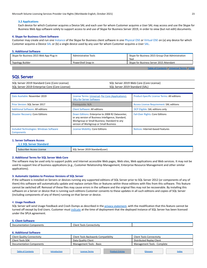### **3.2 Applications**

Each device for which Customer acquires a Device SAL and each user for whom Customer acquires a User SAL may access and use the Skype for Business Web App software solely to support access to and use of Skype for Business Server 2019, in order to view (but not edit) documents.

### **4. Skype for Business Client Software**

Customer may create and run one Instance of the Skype for Business client software in one Physical OSE or Virtual OSE on (a) any device for which Customer acquires a Device SAL or (b) a single device used by any user for whom Customer acquires a User SAL.

#### **5. Additional Software**

| Skype for Business 2015 Web App Plug-in | Administrative Tools | Skype for Business 2015 Group Chat Administration<br>Tool |
|-----------------------------------------|----------------------|-----------------------------------------------------------|
| Topology Builder                        | PowerShell Snap-in   | Skype for Business Server 2015 Attendant                  |
|                                         |                      | Table of Contents / Universal Terms / Index               |

### <span id="page-22-0"></span>**SQL Server**

| SQL Server 2019 Standard Core (Core License)   | SQL Server 2019 Web Core (Core License) |
|------------------------------------------------|-----------------------------------------|
| SQL Server 2019 Enterprise Core (Core License) | SQL Server 2019 Standard (SAL)          |

| Date Available: November 2019                                | License Terms: Universal; Per Core (Applications),<br><b>SALs for Server Software</b>                                                                                                            | <b>Product-Specific License Terms: All editions</b> |
|--------------------------------------------------------------|--------------------------------------------------------------------------------------------------------------------------------------------------------------------------------------------------|-----------------------------------------------------|
| Prior Version: SQL Server 2017                               | Prerequisite: N/A                                                                                                                                                                                | <b>Access License Requirement: SAL editions</b>     |
| <b>Additional Software: All editions</b>                     | <b>Client Software: All editions</b>                                                                                                                                                             | DCP Eligible: SAL editions only                     |
| <b>Disaster Recovery: Core Editions</b>                      | Down Editions: Enterprise to 2008 R2 Datacenter,<br>or any version of Business Intelligence, Standard,<br>Workgroup or Small Business; Standard to any<br>version of Workgroup or Small Business | <b>Fail-Over Rights: Core Editions</b>              |
| Included Technologies: Windows Software<br><b>Components</b> | License Mobility: Core Editions                                                                                                                                                                  | Notices: Internet-based Features                    |

### **1. Server Software Access**

| <b>1.1 SQL Server Standard</b> |                                |
|--------------------------------|--------------------------------|
| Subscriber Access License      | SQL Server 2019 Standard(user) |

### **2. Additional Terms for SQL Server Web Core**

The software may be used only to support public and Internet accessible Web pages, Web sites, Web applications and Web services. It may not be used to support line of business applications (e.g., Customer Relationship Management, Enterprise Resource Management and other similar applications).

### **3. Automatic Updates to Previous Versions of SQL Server**

If the software is installed on Servers or devices running any supported editions of SQL Server prior to SQL Server 2012 (or components of any of them) this software will automatically update and replace certain files or features within those editions with files from this software. This feature cannot be switched off. Removal of these files may cause errors in the software and the original files may not be recoverable. By installing this software on a Server or device that is running such editions Customer consents to these updates in all such editions and copies of SQL Server (including components of any of them) running on that Server or device.

### 4. **Usage Feedback**

SQL Server will send Usage Feedback and Crash Dumps as described in the [privacy statement](https://www.microsoft.com/EN-US/privacystatement/SQLServer/Default.aspx), with the modification that this feature cannot be turned off except by End Users. Customer must [indicate](https://aka.ms/sqlserversplatelemetry) at the time of deployment that the deployed Instance of SQL Server has been licensed under the SPLA agreement.

### **5. Client Software**

| $\lambda$<br>umentation<br>Components<br>レいい | ---<br>≏ctivity<br>Lilent<br>Conne<br>IOOIS |  |
|----------------------------------------------|---------------------------------------------|--|
|                                              |                                             |  |

### **6. Additional Software**

| <b>Client Quality Connectivity</b> |              | Client Tools Backwards Compatibility |                        | <b>Client Tools Connectivity</b> |       |
|------------------------------------|--------------|--------------------------------------|------------------------|----------------------------------|-------|
| Client Tools SDK                   |              | Data Quality Client                  |                        | Distributed Replay Client        |       |
| Documentation Components           |              | Management Tools - Basic             |                        | Management Tools - Complete      |       |
|                                    |              |                                      |                        |                                  |       |
| <b>Table of Contents</b>           | Introduction | License Terms                        | <b>Product Entries</b> | Glossary                         | Index |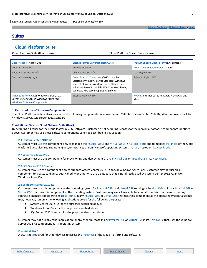Reporting Services Add-in for SharePoint Products | SQL Client Connectivity SDK

Table of [Contents](#page-1-0) / [Universal](#page-4-1) Terms / Inde

### <span id="page-23-0"></span>**Suites**

### <span id="page-23-1"></span>**Cloud Platform Suite**

Cloud Platform Suite (Host License) Cloud Platform Guest (Guest License)

| Date Available: August 2014                                                                                                    | License Terms: Universal: Host/Guest                                                                                                                                                                                                  | <b>Product-Specific License Terms: All editions</b>       |
|--------------------------------------------------------------------------------------------------------------------------------|---------------------------------------------------------------------------------------------------------------------------------------------------------------------------------------------------------------------------------------|-----------------------------------------------------------|
| Prior Version: N/A                                                                                                             | Prerequisite: N/A                                                                                                                                                                                                                     | <b>Access License Requirement: Guest</b>                  |
| Additional Software: N/A                                                                                                       | Client Software: N/A                                                                                                                                                                                                                  | DCP Eligible: N/A                                         |
| Disaster Recovery: N/A                                                                                                         | Down Editions: Guest only (2012 or earlier<br>versions of Windows Server Standard, Windows<br>Server Enterprise, Windows Server Datacenter,<br>Windows Server Essentials, Windows Web Server,<br>Windows HPC Server Operating System) | Fail-Over Rights: N/A                                     |
| Included Technologies: Windows Server, SQL<br>Server, System Center, Windows Azure Pack,<br><b>Windows Software Components</b> | License Mobility: N/A                                                                                                                                                                                                                 | Notices: Internet-based Features, H.264/AVC and<br>$VC-1$ |

#### **1. Restricted Use of Software Components**

The Cloud Platform Suite software includes the following components: Windows Server 2012 R2, System Center 2012 R2, Windows Azure Pack for Windows Server, SQL Server 2012 Standard.

### **2. Additional Terms – Cloud Platform Suite (Host)**

By acquiring a license for the Cloud Platform Suite software, Customer is not acquiring licenses for the individual software components identified above. Customer may use these software components solely as described in this section.

#### **2.1 System Center 2012 R2**

Customer must use this component only to manage the Physical OSEs and Virtual OSEs in its Host Fabric and to manage Instances of the Cloud Platform Guest (licensed separately) and/or instances of non-Microsoft operating systems that are hosted on its Host Fabric.

#### **2.2 Windows Azure Pack**

Customer must use this component for provisioning and deployment of any Physical OSE or Virtual OSE in its Host Fabric.

### **2.3 SQL Server 2012 Standard**

Customer may use this component only to support System Center 2012 R2 and/or Windows Azure Pack. Customer may not use this component to create, configure, query, modify or otherwise use a database that is not directly used by System Center 2012 R2 and/or Windows Azure Pack.

### **2.4 Windows Server 2012 R2**

Customer must use this component as the operating system for Physical OSEs and Virtual OSE running on its Host Fabric. In any Physical OSE or Virtual OSE that uses this component as the operating system, Customer may use all available functionality in this component to deploy, configure, manage and operate its Host Fabric. In any Physical OSE or Virtual OSE that uses this component as the operating system Customer may, however, run only the following applications solely for the following purposes:

- System Center 2012 R2 for the purposes described above;
- Windows Azure Pack for the purposes described above;
- SQL Server 2012 Standard for the purposes described above.

Customer may not run any other application for any other purpose in any Physical OSE or Virtual OSE in its Host Fabric that uses the Windows Server 2012 R2 component as its operating system.

### **2.5. SAL Waiver**

A SAL is not required for other devices to access the Instances of the Cloud Platform Suite software.

|  | <b>Table of Contents</b> |  |
|--|--------------------------|--|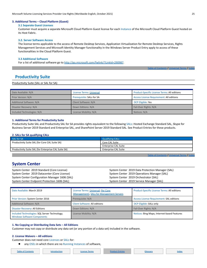### **3. Additional Terms – Cloud Platform (Guest)**

### **3.1 Separate Guest Licenses**

Customer must acquire a separate Microsoft Cloud Platform Guest license for each Instance of the Microsoft Cloud Platform Guest hosted on its Host Fabric.

#### **3.2. Server Software Access**

The license terms applicable to the access of Remote Desktop Services, Application Virtualization for Remote Desktop Services, Rights Management Services and Microsoft Identity Manager functionality in the Windows Server Product Entry apply to access of these functionalities in the Cloud Platform Guest.

### **3.3 Additional Software**

For a list of additional software go to <http://go.microsoft.com/fwlink/?LinkId=290987>.

Table of [Contents](#page-1-0) / [Universal](#page-4-1) Terms / [Index](#page-33-0)

### <span id="page-24-0"></span>**Productivity Suite**

### Productivity Suite (SAL or SAL for SA)

| Date Available: N/A        | License Terms: Universal  | <b>Product-Specific License Terms: All editions</b> |
|----------------------------|---------------------------|-----------------------------------------------------|
| Prior Version: N/A         | Prerequisite: SALs for SA | <b>Access License Requirement: All editions</b>     |
| Additional Software: N/A   | Client Software: N/A      | DCP Eligible: Yes                                   |
| Disaster Recovery: N/A     | Down Editions: N/A        | Fail-Over Rights: N/A                               |
| Included Technologies: N/A | License Mobility: N/A     | Notices: N/A                                        |

#### **1. Additional Terms for Productivity Suite**

Productivity Suite SAL and Productivity SAL for SA provides rights equivalent to the following SALs: Hosted Exchange Standard SAL, Skype for Business Server 2019 Standard and Enterprise SAL, and SharePoint Server 2019 Standard SAL. See Product Entries for these products.

### **2. SALs for SA qualifying CALs**

| SAL for SA                                           | <b>Qualifying CALs</b> |
|------------------------------------------------------|------------------------|
| Productivity Suite SAL (for Core CAL Suite SA)       | Core CAL Suite         |
|                                                      | Enterprise CAL Suite   |
| Productivity Suite SAL (for Enterprise CAL Suite SA) | Enterprise CAL Suite   |
|                                                      |                        |

of [Contents](#page-1-0) / [Universal](#page-4-1) Terms / Inde

### <span id="page-24-1"></span>**System Center**

| System Center 2019 Standard (Core License)     | System Center 2019 Data Protection Manager (SAL) |
|------------------------------------------------|--------------------------------------------------|
| System Center 2019 Datacenter (Core License)   | System Center 2019 Operations Manager (SAL)      |
| System Center Configuration Manager 1606 (SAL) | System Center 2019 Orchestrator (SAL)            |
| System Center Endpoint Protection 1606 (SAL)   | System Center 2019 Service Manager (SAL)         |

| Date Available: March 2019                                                          | License Terms: Universal; Per Core<br>(Management), SALs for Management Servers | Product-Specific License Terms: All editions    |
|-------------------------------------------------------------------------------------|---------------------------------------------------------------------------------|-------------------------------------------------|
| Prior Version: System Center 2016                                                   | Prerequisite: N/A                                                               | <b>Access License Requirement: SAL editions</b> |
| Additional Software: N/A                                                            | <b>Client Software: All editions</b>                                            | DCP Eligible: SALs only                         |
| <b>Disaster Recovery: All Editions</b>                                              | Down Editions: N/A                                                              | Fail-Over Rights: N/A                           |
| Included Technologies: SQL Server Technology;<br><b>Windows Software Components</b> | License Mobility: N/A                                                           | Notices: Bing Maps; Internet-based Features     |

### **1. No Copying or Distributing Data Sets – All Editions**

Customer may not copy or distribute any data set (or any portion of a data set) included in the software.

### **2. License Waivers – All editions**

Customer does not need core Licenses or SALs for:

● any OSEs in which there are no Running Instances of software,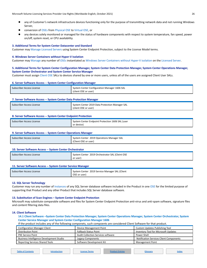- any of Customer's network infrastructure devices functioning only for the purpose of transmitting network data and not running Windows Server,
- conversion of OSEs from Physical OSE to Virtual OSE, or
- any devices solely monitored or managed for the status of hardware components with respect to system temperature, fan speed, power on/off, system reset, or CPU availability.

#### **3. Additional Terms for System Center Datacenter and Standard**

Customer may Manage Licensed Servers using System Center Endpoint Protection, subject to the License Model terms.

#### **4. Windows Server Containers without Hyper-V Isolation**

Customer may Manage any number of OSEs instantiated as Windows Server Containers without Hyper-V isolation on the Licensed Server.

### **5. Additional Terms for System Center Configuration Manager, System Center Data Protection Manager, System Center Operations Manager, System Center Orchestrator and System Center Service Manager**

Customer must assign Client OSE SALs to devices shared by one or more users, unless all of the users are assigned Client User SALs.

#### **6. Server Software Access -- System Center Configuration Manager**

| Subscriber Access License | I System Center Configuration Manager 1606 SAL<br>(client OSE or user) |
|---------------------------|------------------------------------------------------------------------|
|---------------------------|------------------------------------------------------------------------|

### **7. Server Software Access -- System Center Data Protection Manager**

| - Subscriber Access License | System Center 2019 Data Protection Manager SAL |  |
|-----------------------------|------------------------------------------------|--|
|                             | (client OSE or user)                           |  |

### **8. Server Software Access -- System Center Endpoint Protection**

| Subscriber Access License | System Center Endpoint Protection 1606 SAL (user |  |
|---------------------------|--------------------------------------------------|--|
|                           | or device)                                       |  |

#### **9. Server Software Access -- System Center Operations Manager**

| Subscriber Access License | System Center 2019 Operations Manager SAL<br>(Client OSE or user) |
|---------------------------|-------------------------------------------------------------------|
|                           |                                                                   |

### **10. Server Software Access -- System Center Orchestrator**

| Subscriber Access License | System Center 2019 Orchestrator SAL (Cleint OSE |
|---------------------------|-------------------------------------------------|
|                           | or user)                                        |

### **11. Server Software Access -- System Center Service Manager**

| Subscriber Access License | System Center 2019 Service Manager SAL (Client |
|---------------------------|------------------------------------------------|
|                           | OSE or user)                                   |

### **12. SQL Server Technology**

Customer may run any number of Instances of any SQL Server database software included in the Product in one OSE for the limited purpose of supporting that Product and any other Product that includes SQL Server database software.

### **13. Substitution of Scan Engines – System Center Endpoint Protection**

Microsoft may substitute comparable software and files for System Center Endpoint Protection anti-virus and anti-spam software, signature files and content filtering data files.

#### **14. Client Software**

### **14.1 Client Software –System Center Data Protection Manager, System Center Operations Manager, System Center Orchestrator, System Center Service Manager and System Center Configuration Manager 1606**

### If the product includes any of the following componets, such compoents are considered Client Software for that product.

| <b>Configuration Manager Client</b>      | Device Management Point            | Custom Updates Publishing Tool                 |
|------------------------------------------|------------------------------------|------------------------------------------------|
| Distribution Point                       | <b>Fallback Status Point</b>       | Inventory Tool for Microsoft Updates           |
| PXE Service Point                        | Audit Collection Services software | Power Shell                                    |
| Business Intelligence Development Studio | <b>Legacy Components</b>           | <b>Notification Services Client Components</b> |
| Reporting Services Shared Tools          | Software Development Kit           | <b>Management Point</b>                        |

|  |  | <b>Table of Contents</b> |
|--|--|--------------------------|
|  |  |                          |

Table of [Contents](#page-1-0) [Introduction](#page-1-1) Introduction [License](#page-4-0) Terms Index [Product](#page-10-0) Entries Index [Glossary](#page-31-0) [Index](#page-33-0)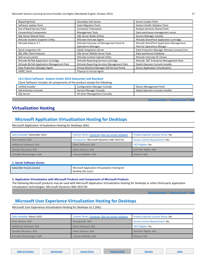| <b>Reporting Point</b>                      | Secondary Site Server                       | Server Locator Point                       |
|---------------------------------------------|---------------------------------------------|--------------------------------------------|
| Software Update Point                       | <b>State Migration Point</b>                | System Health Validator Point              |
| Out of Band Service Point                   | <b>Connector Framework</b>                  | Analysis Services Shared Tools             |
| <b>Connectivity Components</b>              | <b>Management Tools</b>                     | Data warehouse management server           |
| <b>SQL Server Shared Tools</b>              | <b>SQL Server Books Online</b>              | Service Manager console                    |
| AVIcode Incident Snapshot Utility           | AVIcode Intercept Agent                     | AVIcode SharePoint Application Cartridge   |
| AVIcode Advisor 5.7                         | AVIcode Intercept uX Management Pack for    | AVIcode SharePoint Application Management  |
|                                             | <b>Operations Manager</b>                   | Pack for Operations Manger                 |
| <b>Quick Integration Kit</b>                | <b>Opalis Integration Server</b>            | Data Protection Manager Remote Comand-Line |
| <b>SQL XML Client Features</b>              | SQL Server Mobile Server Tools              | Data warehouse Database                    |
| Self-service portal                         | AVIcode Incident Upload Utility             | AVIcode Intercept SE-Viewer                |
| AVIcode BizTalk Application Cartridge       | <b>AVIcode Reporting Services Cartridge</b> | AVIcode .NET Enterprise Management Pack    |
| AVIcode BizTalk Application Management Pack | AVIcode Reporting Services Management Pack  | Opalis Operator Console Installer          |
| Data Protection Manager Agent               | Virtual Machine Manager Self Service Portal | Server Application Virtualization          |
| <b>VMRC Client</b>                          | Physical to Virtual Agent                   |                                            |

### **14.2 Client Software –System Center 2019 Datacenter and Standard**

| Client Software includes all components of the product except the following. |                                      |                                   |  |
|------------------------------------------------------------------------------|--------------------------------------|-----------------------------------|--|
| Unified Installer                                                            | <b>Configuration Manager Console</b> | Device Management Point           |  |
| Administrator Console                                                        | Service Manager Console              | Opalis Operator Console Installer |  |
| SQL Server                                                                   | All other Management Consoles        |                                   |  |

Table of [Contents](#page-1-0) / [Universal](#page-4-1) Terms / [Index](#page-33-0)

### <span id="page-26-0"></span>**Virtualization Hosting**

### <span id="page-26-1"></span>**Microsoft Application Virtualization Hosting for Desktops**

Microsoft Application Virtualization Hosting for Desktops (SAL)

| Date Available: November 2015 | License Terms: Universal; SALs for Server Software | Product-Specific License Terms: Yes    |
|-------------------------------|----------------------------------------------------|----------------------------------------|
| Prior Version: N/A            | Prerequisite: Microsoft Dynamics NAV 2013 R2       | <b>Access License Requirement: Yes</b> |
| Additional Software: N/A      | Client Software: N/A                               | DCP Eligible: Yes                      |
| Disaster Recovery: N/A        | Down Editions: N/A                                 | Fail-Over Rights: N/A                  |
| Included Technologies: N/A    | License Mobility: N/A                              | Notices: N/A                           |

**1. Server Software Access**

| Subscriber Access License | Microsoft Application Virtualization Hosting for |
|---------------------------|--------------------------------------------------|
|                           | Desktop SAL (user)                               |

### **2. Application Virtualization with Microsoft Products and Components of Microsoft Products**

The following Microsoft products may be used with Microsoft Application Virtualization Hosting for Desktops or other third-party application virtualization technologies: Microsoft Dynamics NAV 2013 R2.

Table of [Contents](#page-1-0) / [Universal](#page-4-1) Terms / [Index](#page-33-0)

### <span id="page-26-2"></span>**Microsoft User Experience Virtualization Hosting for Desktops**

Microsoft User Experience Virtualization Hosting for Desktops v2.1 (SAL)

| Date Available: March 2015 | License Terms: Universal: SALs for Server Software | <b>Product-Specific License Terms: Yes</b> |
|----------------------------|----------------------------------------------------|--------------------------------------------|
| Prior Version: N/A         | Prerequisite: N/A                                  | <b>Access License Requirement: Yes</b>     |
| Additional Software: N/A   | Client Software: N/A                               | DCP Eligible: Yes                          |
| Disaster Recovery: N/A     | Down Editions: N/A                                 | Fail-Over Rights: N/A                      |
| Included Technologies: N/A | License Mobility: N/A                              | Notices: N/A                               |

Table of [Contents](#page-1-0) [Introduction](#page-1-1) Intervention [License](#page-4-0) Terms [Product](#page-10-0) Entries [Index](#page-33-0) Clossary Index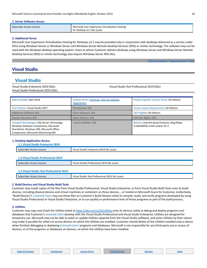### **1. Server Software Access**

| Subscriber Access License | Microsoft User Experience Virtualization Hosting |
|---------------------------|--------------------------------------------------|
|                           | for Desktop v2.1 SAL (user)                      |

### **2. Additional Terms**

Microsoft User Experience Virtualization Hosting for Desktops v2.1 may be provided only in conjunction with desktops delivered as a service under SPLA using Windows Server or Windows Server and Windows Server Remote Desktop Services (RDS) or similar technology. The software may not be used with the Windows desktop operating system. Users to whom Customer delivers desktops using Windows Server and Windows Server Remote Desktop Services (RDS) or similar technology also require Windows Server RDS SALs.

Table of [Contents](#page-1-0) / [Universal](#page-4-1) Terms / [Index](#page-33-0)

### <span id="page-27-0"></span>**Visual Studio**

### <span id="page-27-1"></span>**Visual Studio**

Visual Studio Enterprise 2019 (SAL) Visual Studio Professional 2019 (SAL) Visual Studio Test Professional 2019 (SAL)

| Date Available: April 2019                                                                                                                                                    | License Terms: Universal; SALs for Desktop<br><b>Applications</b> | Product-Specific License Terms: All editions                                 |
|-------------------------------------------------------------------------------------------------------------------------------------------------------------------------------|-------------------------------------------------------------------|------------------------------------------------------------------------------|
| Prior Version: Visual Studio 2017                                                                                                                                             | Prerequisite: N/A                                                 | <b>Access License Requirement: All Editions</b>                              |
| Additional Software: N/A                                                                                                                                                      | Client Software: N/A                                              | DCP Eligible: All editions                                                   |
| Disaster Recovery: N/A                                                                                                                                                        | Down Editions: N/A                                                | Fail-Over Rights: N/A                                                        |
| Included Technologies: SQL Server Technology,<br>Windows Software Components, Microsoft<br>SharePoint, Windows SDK, Microsoft Office<br>Components, Microsoft Advertising SDK | License Mobility: N/A                                             | Notices: Internet-based Features, Bing Maps,<br>H.264/MPEG-4 AVC and/or VC-1 |

### **1. Desktop Application Access**

| 1.1 Visual Studio Enterprise 2019   |                                          |  |
|-------------------------------------|------------------------------------------|--|
| Subscriber Access License           | Visual Studio Enterprise 2019 SAL (user) |  |
|                                     |                                          |  |
| 1.2 Visual Studio Professional 2019 |                                          |  |
|                                     |                                          |  |

| Subscriber                  | Visual Studio Professional 2019 SAL ( |
|-----------------------------|---------------------------------------|
| <sup>.</sup> Access License | . (user)                              |
|                             |                                       |

### **1.3 Visual Studio Test Professional 2019**

| <b>Subsc</b><br>; License<br>$\sim$ $\sim$ $\sim$ $\sim$<br>scribei<br>ACCESS | SAL<br><b>Mic</b><br>วก1<br>(user)<br>. Professional<br>Test<br>Studio<br>$\overline{\phantom{a}}$<br>$\mathbf{u}$<br>$\overline{\phantom{a}}$<br>. |
|-------------------------------------------------------------------------------|-----------------------------------------------------------------------------------------------------------------------------------------------------|
|                                                                               |                                                                                                                                                     |

### **2. Build Devices and Visual Studio Build Tools**

Customer may install copies of the files from Visual Studio Professional, Visual Studio Enterprise, or from Visual Studio Build Tools onto its build devices, including physical devices and virtual machines or containers on those devices, , or hosted on Microsoft Azure for Customer, (collectively, "Build Devices"). Licensed Users may use these files on Customer's Build Devices solely to compile, build, and verify programs developed by using Visual Studio Professional or Visual Studio Enterprise, or to run quality or performance tests of those programs as part of the build process.

#### **3. Utilities**

Customer may copy and install the Utilities listed at <https://aka.ms/vs/16/utilities> onto its devices solely to debug and deploy programs and databases that Customer's Licensed Users develop with the Visual Studio Professional and Visual Studio Enterprise. Utilities are designed for temporary use. Microsoft may not be able to patch or update Utilities separate from the Visual Studio software, and some Utilities by their nature may make it possible for others to access devices on which the Utilities are installed. Customer should delete all the Utilities installed onto a device when finished debugging or deploying Licensed Users' programs and databases. Microsoft is not responsible for any third-party use or access of devices, or of the programs or databases on devices, on which the Utilities have been installed.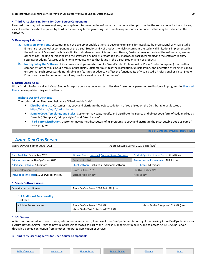### **4. Third Party Licensing Terms for Open Source Components**

Licensed User may not reverse engineer, decompile or disassemble the software, or otherwise attempt to derive the source code for the software, except and to the extent required by third party licensing terms governing use of certain open source components that may be included in the software.

### **5. Developing Extensions**

- **a. Limits on Extensions**. Customer may not develop or enable others to develop extensions for Visual Studio Professional or Visual Studio Enterprise (or and other component of the Visual Studio family of products) which circumvent the technical limitations implemented in the software. If Microsoft technically limits or disables extensibility for the software, Customer may not extend the software by, among other things, loading or injecting into the software any non-Microsoft add-ins, macros, or packages; modifying the software registry settings; or adding features or functionality equivalent to that found in the Visual Studio family of products.
- **b.** No Degrading the Software. If Customer develops an extension for Visual Studio Professional or Visual Studio Enterprise (or any other component of the Visual Studio family of products), Customer must test the installation, uninstallation, and operation of its extension to ensure that such processes do not disable any features or adversely affect the functionality of Visual Studio Professional or Visual Studio Enterprise (or such component) or of any previous version or edition thereof.

#### **6. Distributable Code**

Visual Studio Professional and Visual Studio Enterprise contains code and text files that Customer is permitted to distribute in programs its Licensed Users develop while using such software.

#### **Right to Use and Distribute**

The code and text files listed below are "Distributable Code".

- **Distributable List**. Customer may copy and distribute the object code form of code listed on the Distributable List located at [https://aka.ms/vs/16/redistribution.](https://aka.ms/vs/16/redistribution)
- Sample Code, Templates, and Styles. Customer may copy, modify, and distribute the source and object code form of code marked as "sample", "template", "simple styles", and "sketch styles".
- **Third-party Distribution**. Customer may permit distributors of its programs to copy and distribute the Distributable Code as part of those programs.

Table of [Contents](#page-1-0) / [Universal](#page-4-1) Terms / [Index](#page-33-0)

### <span id="page-28-0"></span>**Azure Dev Ops Server**

Azure DevOps Server 2020 (SAL) Azure DevOps Server 2020 Basic (SAL)

| Date Available: September 2020               | License Terms: Universal; SALs for Server Software | <b>Product-Specific License Terms: All editions</b> |
|----------------------------------------------|----------------------------------------------------|-----------------------------------------------------|
| Prior Version: Azure DevOps Server 2019      | Prerequisite: N/A                                  | <b>Access License Requirement: All Editions</b>     |
| <b>Additional Software: All editions</b>     | Client Software: Includes all Additional Software  | DCP Eligible: All editions                          |
| Disaster Recovery: N/A                       | Down Editions: N/A                                 | Fail-Over Rights: N/A                               |
| Included Technologies: SQL Server Technology | License Mobility: N/A                              | Notices: N/A                                        |

### **1. Server Software Access**

| Subscriber Access License | r 2020 Basic SAL (user) .<br>DevOps Server<br>szure. |
|---------------------------|------------------------------------------------------|
|                           |                                                      |

### **1.1 Additional Functionality**

| $\sim$<br>۰.<br>$\overline{\phantom{a}}$<br>× | I |  |
|-----------------------------------------------|---|--|
|                                               |   |  |

| Additive Access License | Azure DevOps Server 2020 SAL             | Visual Studio Enterprise 2019 SAL (user) |
|-------------------------|------------------------------------------|------------------------------------------|
|                         | Visual Studio Test Professional 2019 SAL |                                          |

### **2. SAL Waiver**

A SAL is not required for users: to view, edit, or enter work items, to access Azure DevOps Server Reporting, for accessing Azure DevOps Services via a Azure DevOps Server Proxy, to provide approvals to stages as part of the Release Management pipeline, and to access Azure DevOps Server through a pooled connection from another integrated application or service.

### **3. Third Party Licensing Terms for Open Source Components**

| <b>Table of Contents</b> | Introduction | License Terms | roduct Enfrie | Glossary | Inde |
|--------------------------|--------------|---------------|---------------|----------|------|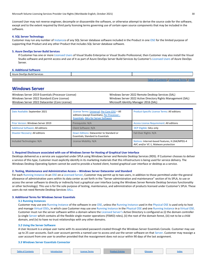Licensed User may not reverse engineer, decompile or disassemble the software, or otherwise attempt to derive the source code for the software, except and to the extent required by third party licensing terms governing use of certain open source components that may be included in the software.

### **4. SQL Server Technology**

Customer may run any number of Instances of any SQL Server database software included in the Product in one OSE for the limited purpose of supporting that Product and any other Product that includes SQL Server database software.

### **5. Azure DevOps Server Build Services**

If Customer has one or more Licensed Users of Visual Studio Enterprise or Visual Studio Professional, then Customer may also install the Visual Studio software and permit access and use of it as part of Azure DevOps Server Build Services by Customer's Licensed Users of Azure DevOps Server.

### **6. Additional Software**

| <b>Azur</b><br>Ru<br>l)ev()n<br>V11.77 |  |  |  |
|----------------------------------------|--|--|--|
|                                        |  |  |  |
|                                        |  |  |  |

### Table of [Contents](#page-1-0) / [Universal](#page-4-1) Terms / [Index](#page-33-0)

### <span id="page-29-0"></span>**Windows Server**

| Windows Server 2019 Essentials (Processor License) | Windows Server 2022 Remote Desktop Services (SAL)            |
|----------------------------------------------------|--------------------------------------------------------------|
| Windows Server 2022 Standard (Core License)        | Windows Server 2022 Active Directory Rights Management (SAL) |
| Windows Server 2022 Datacenter (Core License)      | Microsoft Identity Manager 2016 (SAL)                        |

| Date Available: September 2021           | License Terms: Universal; Per Core (OS) - All<br>editions (except Essentials), Per Processor -<br><b>Essentials, SALs for Server Software</b> | Product-Specific License Terms: All editions                                          |
|------------------------------------------|-----------------------------------------------------------------------------------------------------------------------------------------------|---------------------------------------------------------------------------------------|
| Prior Version: Windows Server 2019       | Prerequisite: N/A                                                                                                                             | <b>Access License Requirement: All editions</b>                                       |
| <b>Additional Software: All editions</b> | Client Software: N/A                                                                                                                          | DCP Eligible: SALs only                                                               |
| Disaster Recovery: All editions          | Down Editions: Datacenter to Standard or<br><b>Essentials: Standard to Essentials</b>                                                         | Fail-Over Rights: N/A                                                                 |
| Included Technologies: N/A               | License Mobility: N/A                                                                                                                         | Notices: Internet-based Features, H.264/MPEG-4<br>AVC and/or VC-1, Malware protection |

### **1. Required Disclosure associated with use of Windows Server for Hosting of Graphical User Interface**

Desktops delivered as a service are supported under SPLA using Windows Server and Remote Desktop Services (RDS). If Customer chooses to deliver a service of this type, Customer must explicitly identify in its marketing materials that this infrastructure is being used for service delivery. The Windows Desktop Operating System cannot be used to provide a hosted client, hosted graphical user interface or desktop as a service.

### **2. Testing, Maintenance and Administrative Access -- Windows Server Datacenter and Standard**

For each Running Instance in an OSE on a Licensed Server, Customer may permit up to two users, in addition to those permitted under the general allowance of administrative users within its data center as set forth in the "Server administration and maintenance" section of its SPLA, to use or access the server software to directly or indirectly host a graphical user interface (using the Windows Server Remote Desktop Services functionality or other technology). This use is for the sole purpose of testing, maintenance, and administration of products licensed under Customer's SPLA. These users do not need Remote Desktop Services SALs.

### **3. Additional Terms for Windows Server Essentials**

### **3.1 Running Instances**

Customer may use one Running Instance of the software in one OSE, unless the Running Instance used in the Physical OSE is used only to host and manage Virtual OSEs, in which case Customer may use one Running Instance in the Physical OSE and one Running Instance in a Virtual OSE. Customer must run the server software within a domain where the Licensed Server's Active Directory is configured as (i) the domain controller (a single Server which contains all the flexible single master operations (FSMO) roles), (ii) the root of the domain forest, (iii) not to be a child domain, and (iv) to have no trust relationships with any other domains.

### **3.2 Using the Server Software**

A User Account is a unique user name with its associated password created through the Windows Server Essentials Console. Customer may use up to 25 user accounts. Each user account permits a named user to access and use the server software on that Server. Customer may reassign a user account from one user to another provided that the reassignment does not occur within 90 days of the last assignment.

### **3.3 Windows Server Essentials Connector**

| <b>Table of Contents</b> | ntroduction | License Terms | <b>Product Entries</b> | Glossary |  | Inde: |
|--------------------------|-------------|---------------|------------------------|----------|--|-------|
|--------------------------|-------------|---------------|------------------------|----------|--|-------|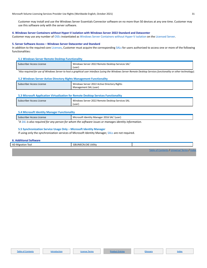Customer may install and use the Windows Server Essentials Connector software on no more than 50 devices at any one time. Customer may use this software only with the server software.

### **4. Windows Server Containers without Hyper-V isolation with Windows Server 2022 Standard and Datacenter**

Customer may use any number of OSEs instantiated as Windows Server Containers without Hyper-V isolation on the Licensed Server.

### **5. Server Software Access – Windows Server Datacenter and Standard**

In addition to the required core Licenses, Customer must acquire the corresponding SALs for users authorized to access one or more of the following functionalities:

#### **5.1 Windows Server Remote Desktop Functionality**

| - Subscriber Access License | Mindows Server 2022 Remote Desktop Services SAL <sup>1</sup> |
|-----------------------------|--------------------------------------------------------------|
|                             | user،                                                        |

<sup>1</sup>Also required for use of Windows Server to host a graphical user interface (using the Windows Server Remote Desktop Services functionality or other technology).

| 5.2 Windows Server Active Directory Rights Management Functionality |                                             |  |  |
|---------------------------------------------------------------------|---------------------------------------------|--|--|
| Subscriber Access License                                           | Windows Server 2022 Active Directory Rights |  |  |
|                                                                     | Management SAL (user)                       |  |  |

#### **5.3 Microsoft Application Virtualization for Remote Desktop Services Functionality**

| l Subscriber Access License | Windows Server 2022 Remote Desktop Services SAL |
|-----------------------------|-------------------------------------------------|
|                             | (user)                                          |

### **5.4 Microsoft Identity Manager Functionality**

| Subscriber Access License                                                                                            | Microsoft Identity Manager 2016 SAL <sup>1</sup> (user) |  |  |  |
|----------------------------------------------------------------------------------------------------------------------|---------------------------------------------------------|--|--|--|
| <u>. A CAL is also assuited for any population for who as the software issues an monography identity information</u> |                                                         |  |  |  |

*<sup>1</sup>A SAL is also required for any person for whom the software issues or manages identity information.*

### **5.5 Synchronization Service Usage Only – Microsoft Identity Manager**

If using only the synchronization services of Microsoft Identity Manager, SALs are not required.

#### **6. Additional Software**

| .<br>AD Migration<br>Tool<br><b>∩⊌</b> | GBUNIECN.EXE<br>Utility |  |
|----------------------------------------|-------------------------|--|
|                                        |                         |  |

Table of [Contents](#page-1-0) / [Universal](#page-4-1) Terms / [Index](#page-33-0)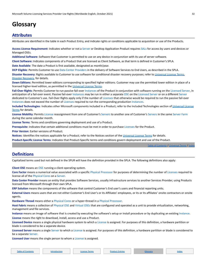# <span id="page-31-0"></span>**Glossary**

### <span id="page-31-1"></span>**Attributes**

Attributes are identified in the table in each Product Entry, and indicate rights or conditions applicable to acquisition or use of the Products.

**Access License Requirement**: Indicates whether or not a Server or Desktop Application Product requires SALs for access by users and devices or Managed OSEs.

**Additional Software**: Software that Customer is permitted to use on any device in conjunction with its use of server software.

**Client Software:** Indicates components of a Product that are licensed as Client Software, as that term is defined in Customer's SPLA.

**Date Available**: The date a Product is first available, designated as month/year.

**DCP Eligible**: Permits Customer to use Data Center Providers in the delivery of Software Services to End Users, as described in the SPLA.

**Disaster Recovery**: Rights available to Customer to use software for conditional disaster recovery purposes; refer to [Universal License Terms](#page-4-1), [Disaster Recovery,](#page-4-2) for details.

**Down Editions**: Permitted lower editions corresponding to specified higher editions. Customer may use the permitted lower edition in place of a licensed higher-level edition, as permitted in the [Universal License Terms](#page-4-1).

**Fail-Over Rights**: Permits Customer to run passive fail-over Instances of the Product in conjunction with software running on the Licensed Server, in anticipation of a fail-over event. Passive fail-over Instances may be run in either a separate OSE on the Licensed Server or on a different Server dedicated to Customer's use. Fail-Over Rights apply only if the number of Licenses that otherwise would be required to run the passive fail-over Instances does not exceed the number of Licenses required to run the corresponding production Instances.

**Included Technologies**: Indicates other Microsoft components included in a Product; refer to the Included Technologies section of [Universal License](#page-4-1) [Terms](#page-4-1) for details.

**License Mobility**: Permits License reassignment from one of Customer's Servers to another one of Customer's Servers in the same Server Farm during the same calendar month.

**License Terms**: Terms and conditions governing deployment and use of a Product.

**Prerequisite**: Indicates that certain additional conditions must be met in order to purchase Licenses for the Product.

**Prior Version**: Earlier versions of Product.

**Notices**: Identifies the notices applicable for a Product; refer to the Notices section of the [Universal License](#page-4-1) Terms for details.

**Product-Specific License Terms**: Indicates that Product-Specific terms and conditions govern deployment and use of the Product.

Table of [Contents](#page-1-0) / [Universal](#page-4-1) Terms / [Index](#page-33-0)

### <span id="page-31-2"></span>**Definitions**

Capitalized terms used but not defined in the SPUR will have the definition provided in the SPLA. The following definitions also apply:

**Client OSE** means an OSE running a client operating system.

**Core Factor** means a numerical value associated with a specific Physical Processor for purposes of determining the number of Licenses required to license all of the Physical Cores on a Server.

**Data Center Provider** means an entity that provides Software Services, usually infrastructure services to another Services Provider, using Products licensed from Microsoft through their own SPLA.

**ERP Solution** means the components of the software that control Customer's End user's users and financial reporting units.

**External Users** means users that are not either Customer's End User's or its Affiliates' employees, or its or its affiliates' onsite contractors or onsite agents.

**Hardware Thread** means either a Physical Cores or a hyper-thread in a Physical Processor.

**Host Fabric** means a collection of Physical OSE and Virtual OSEs that are configured and operated as a unit to provide virtualization, networking, management and file services.

**Instance** means an image of software that is created by executing the software's setup or install procedure or by duplicating an existing Instance. **License** means the right to download, install, access and use a Product.

**Licensed Device** means a single physical hardware system to which a License is assigned. For purposes of this definition, a hardware partition or blade is considered to be a separate device.

**Licensed Server** means a single Server to which a License is assigned. For purposes of this definition, a hardware partition or blade is considered to be a separate Server.

**Licensed User** means the single person to whom a License is assigned.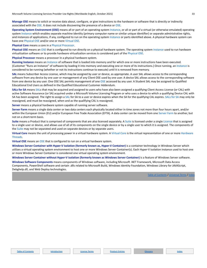**Manage OSE** means to solicit or receive data about, configure, or give instructions to the hardware or software that is directly or indirectly associated with the OSE. It does not include discovering the presence of a device or OSE.

**Operating System Environment (OSE)** means all or part of an operating system Instance, or all or part of a virtual (or otherwise emulated) operating system Instance which enables separate machine identity (primary computer name or similar unique identifier) or separate administrative rights, and instances of applications, if any, configured to run on the operating system Instance or parts identified above. A physical hardware system can have one Physical OSE and/or one or more Virtual OSE.

**Physical Core** means a core in a Physical Processor.

**Physical OSE** means an OSE that is configured to run directly on a physical hardware system. The operating system Instance used to run hardware virtualization software or to provide hardware virtualization services is considered part of the Physical OSE.

**Physical Processor** means a processor in a physical hardware system.

**Running Instance** means an Instance of software that is loaded into memory and for which one or more instructions have been executed. (Customer "Runs an Instance" of software by loading it into memory and executing one or more of its instructions.) Once running, an Instance is considered to be running (whether or not its instructions continue to execute) until it is removed from memory.

**SAL** means Subscriber Access License, which may be assigned by user or device, as appropriate. A user SAL allows access to the corresponding software from any device by one user or management of any Client OSE used by one user. A device SAL allows access to the corresponding software from one device by any user. One OSE SAL permits management of one OSE accessed by any user. A Student SAL may be assigned to Qualified Educational End Users as defined in the Qualified Educational Customer Addendum.

**SALs for SA** means SALs that may be acquired and assigned to users who have also been assigned a qualifying Client Access License (or CAL) with active Software Assurance (or SA) acquired under a Microsoft Volume Licensing Program or who uses a device to which a qualifying Device CAL with SA has been assigned. The right to assign a SAL for SA to a user or device expires when the SA for the qualifying CAL expires. SALs for SA may only be reassigned, and must be reassigned, when and as the qualifying CAL is reassigned.

**Server** means a physical hardware system capable of running server software.

**Server Farm** means a single data center or two data centers each physically located either in time zones not more than four hours apart, and/or within the European Union (EU) and/or European Free Trade Association (EFTA). A data center can be moved from one Server Farm to another, but not on a short-term basis.

**Suite** means a Product that is comprised of components that are also licensed separately. A Suite is licensed under a single License that is assigned to a single user or device, and allows use of all of its components on the single device or by a single user to which it is assigned. The components of the Suite may not be separated and used on separate devices or by separate users.

**Virtual Core** means the unit of processing power in a virtual hardware system. A Virtual Core is the virtual representation of one or more Hardware **Threads** 

**Virtual OSE** means an OSE that is configured to run on a virtual hardware system.

**Windows Server Container with Hyper-V isolation (formerly known as, Hyper-V Container)** is a container technology in Windows Server which utilizes a virtual operating system environment to host one or more Windows Server Container(s). Each Hyper-V isolation instance used to host one or more Windows Server Container is considered one virtual operating system environment.

**Windows Server Container without Hyper-V isolation (formerly known as Windows Server Container)** is a feature of Windows Server software. **Windows Software Components** means components of Windows software, including Microsoft .NET Framework, Microsoft Data Access Components, PowerShell software and certain .dlls related to Microsoft Build, Windows Identity Foundation, Windows Library for JAVAScript, Debghelp.dll, and Web Deploy technologies.

Table of [Contents](#page-1-0) / [Universal](#page-4-1) Terms / Inde